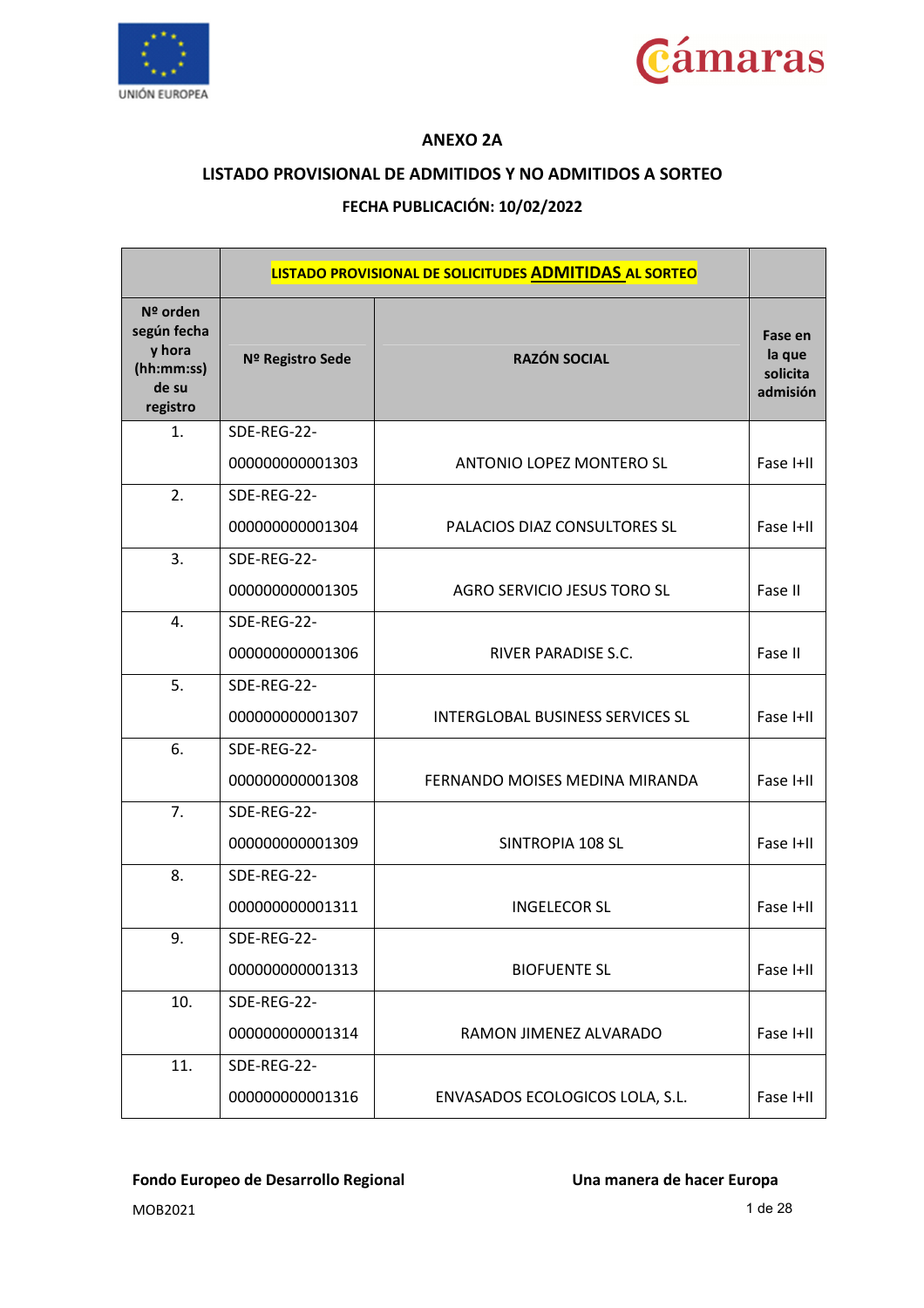



### **ANEXO 2A**

### **LISTADO PROVISIONAL DE ADMITIDOS Y NO ADMITIDOS A SORTEO**

### **FECHA PUBLICACIÓN: 10/02/2022**

|                                                                      |                  | LISTADO PROVISIONAL DE SOLICITUDES ADMITIDAS AL SORTEO |                                           |
|----------------------------------------------------------------------|------------------|--------------------------------------------------------|-------------------------------------------|
| Nº orden<br>según fecha<br>y hora<br>(hh:mm:ss)<br>de su<br>registro | Nº Registro Sede | <b>RAZÓN SOCIAL</b>                                    | Fase en<br>la que<br>solicita<br>admisión |
| 1.                                                                   | SDE-REG-22-      |                                                        |                                           |
|                                                                      | 000000000001303  | ANTONIO LOPEZ MONTERO SL                               | Fase I+II                                 |
| 2.                                                                   | SDE-REG-22-      |                                                        |                                           |
|                                                                      | 000000000001304  | PALACIOS DIAZ CONSULTORES SL                           | Fase I+II                                 |
| 3.                                                                   | SDE-REG-22-      |                                                        |                                           |
|                                                                      | 000000000001305  | AGRO SERVICIO JESUS TORO SL                            | Fase II                                   |
| 4.                                                                   | SDE-REG-22-      |                                                        |                                           |
|                                                                      | 000000000001306  | RIVER PARADISE S.C.                                    | Fase II                                   |
| 5.                                                                   | SDE-REG-22-      |                                                        |                                           |
|                                                                      | 000000000001307  | <b>INTERGLOBAL BUSINESS SERVICES SL</b>                | Fase I+II                                 |
| 6.                                                                   | SDE-REG-22-      |                                                        |                                           |
|                                                                      | 000000000001308  | FERNANDO MOISES MEDINA MIRANDA                         | Fase I+II                                 |
| 7.                                                                   | SDE-REG-22-      |                                                        |                                           |
|                                                                      | 000000000001309  | SINTROPIA 108 SL                                       | Fase I+II                                 |
| 8.                                                                   | SDE-REG-22-      |                                                        |                                           |
|                                                                      | 000000000001311  | <b>INGELECOR SL</b>                                    | Fase I+II                                 |
| 9.                                                                   | SDE-REG-22-      |                                                        |                                           |
|                                                                      | 000000000001313  | <b>BIOFUENTE SL</b>                                    | Fase I+II                                 |
| 10.                                                                  | SDE-REG-22-      |                                                        |                                           |
|                                                                      | 000000000001314  | RAMON JIMENEZ ALVARADO                                 | Fase I+II                                 |
| 11.                                                                  | SDE-REG-22-      |                                                        |                                           |
|                                                                      | 000000000001316  | ENVASADOS ECOLOGICOS LOLA, S.L.                        | Fase I+II                                 |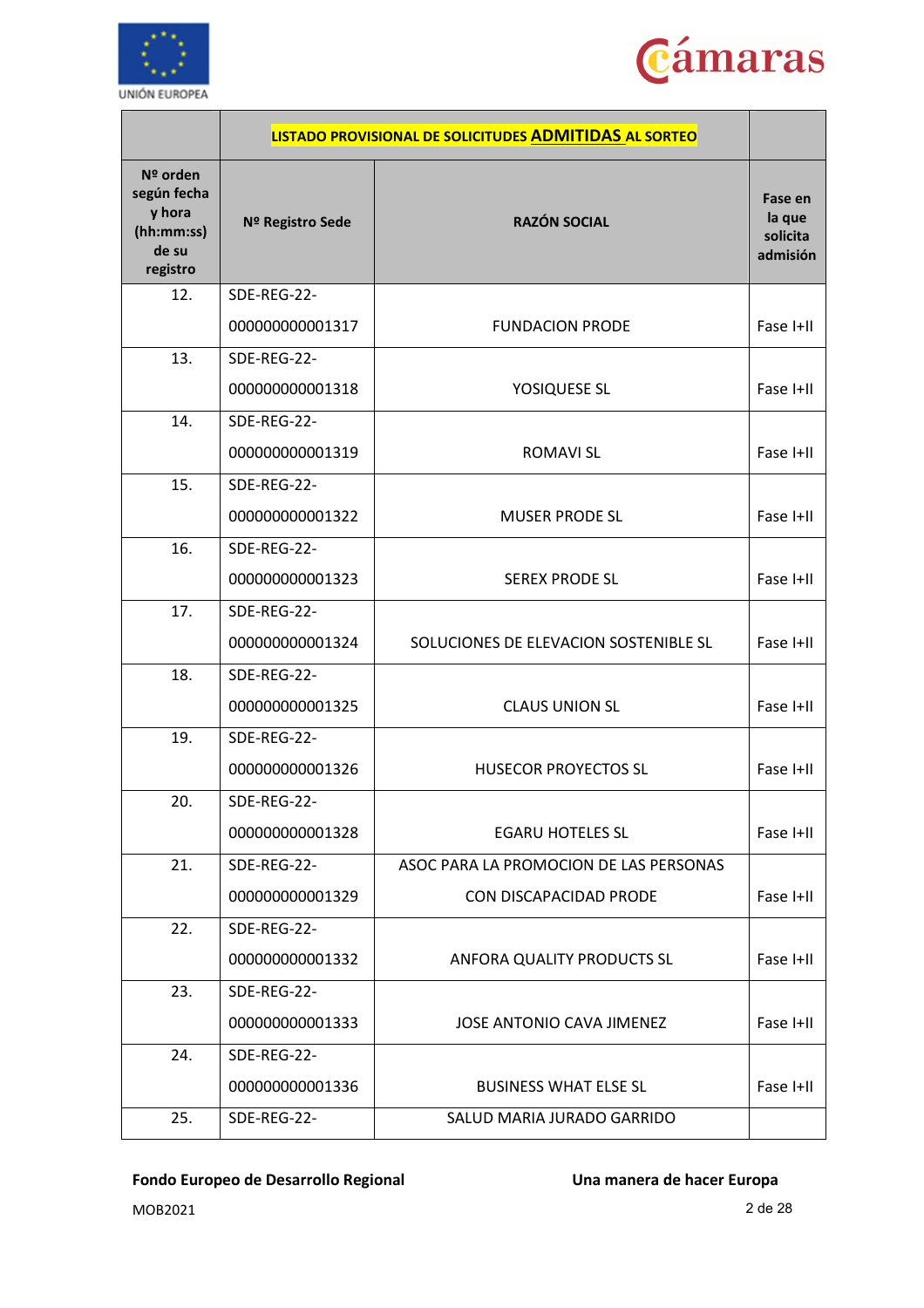



|                                                                        |                  | LISTADO PROVISIONAL DE SOLICITUDES ADMITIDAS AL SORTEO |                                           |
|------------------------------------------------------------------------|------------------|--------------------------------------------------------|-------------------------------------------|
| $N2$ orden<br>según fecha<br>y hora<br>(hh:mm:ss)<br>de su<br>registro | Nº Registro Sede | <b>RAZÓN SOCIAL</b>                                    | Fase en<br>la que<br>solicita<br>admisión |
| 12.                                                                    | SDE-REG-22-      |                                                        |                                           |
|                                                                        | 000000000001317  | <b>FUNDACION PRODE</b>                                 | Fase I+II                                 |
| 13.                                                                    | SDE-REG-22-      |                                                        |                                           |
|                                                                        | 000000000001318  | YOSIQUESE SL                                           | Fase I+II                                 |
| 14.                                                                    | SDE-REG-22-      |                                                        |                                           |
|                                                                        | 000000000001319  | <b>ROMAVI SL</b>                                       | Fase I+II                                 |
| 15.                                                                    | SDE-REG-22-      |                                                        |                                           |
|                                                                        | 000000000001322  | <b>MUSER PRODE SL</b>                                  | Fase I+II                                 |
| 16.                                                                    | SDE-REG-22-      |                                                        |                                           |
|                                                                        | 000000000001323  | <b>SEREX PRODE SL</b>                                  | Fase I+II                                 |
| 17.                                                                    | SDE-REG-22-      |                                                        |                                           |
|                                                                        | 000000000001324  | SOLUCIONES DE ELEVACION SOSTENIBLE SL                  | Fase I+II                                 |
| 18.                                                                    | SDE-REG-22-      |                                                        |                                           |
|                                                                        | 000000000001325  | <b>CLAUS UNION SL</b>                                  | Fase I+II                                 |
| 19.                                                                    | SDE-REG-22-      |                                                        |                                           |
|                                                                        | 000000000001326  | <b>HUSECOR PROYECTOS SL</b>                            | Fase I+II                                 |
| 20.                                                                    | SDE-REG-22-      |                                                        |                                           |
|                                                                        | 000000000001328  | <b>EGARU HOTELES SL</b>                                | Fase I+II                                 |
| 21.                                                                    | SDE-REG-22-      | ASOC PARA LA PROMOCION DE LAS PERSONAS                 |                                           |
|                                                                        | 000000000001329  | CON DISCAPACIDAD PRODE                                 | Fase I+II                                 |
| 22.                                                                    | SDE-REG-22-      |                                                        |                                           |
|                                                                        | 000000000001332  | ANFORA QUALITY PRODUCTS SL                             | Fase I+II                                 |
| 23.                                                                    | SDE-REG-22-      |                                                        |                                           |
|                                                                        | 000000000001333  | JOSE ANTONIO CAVA JIMENEZ                              | Fase I+II                                 |
| 24.                                                                    | SDE-REG-22-      |                                                        |                                           |
|                                                                        | 000000000001336  | <b>BUSINESS WHAT ELSE SL</b>                           | Fase I+II                                 |
| 25.                                                                    | SDE-REG-22-      | SALUD MARIA JURADO GARRIDO                             |                                           |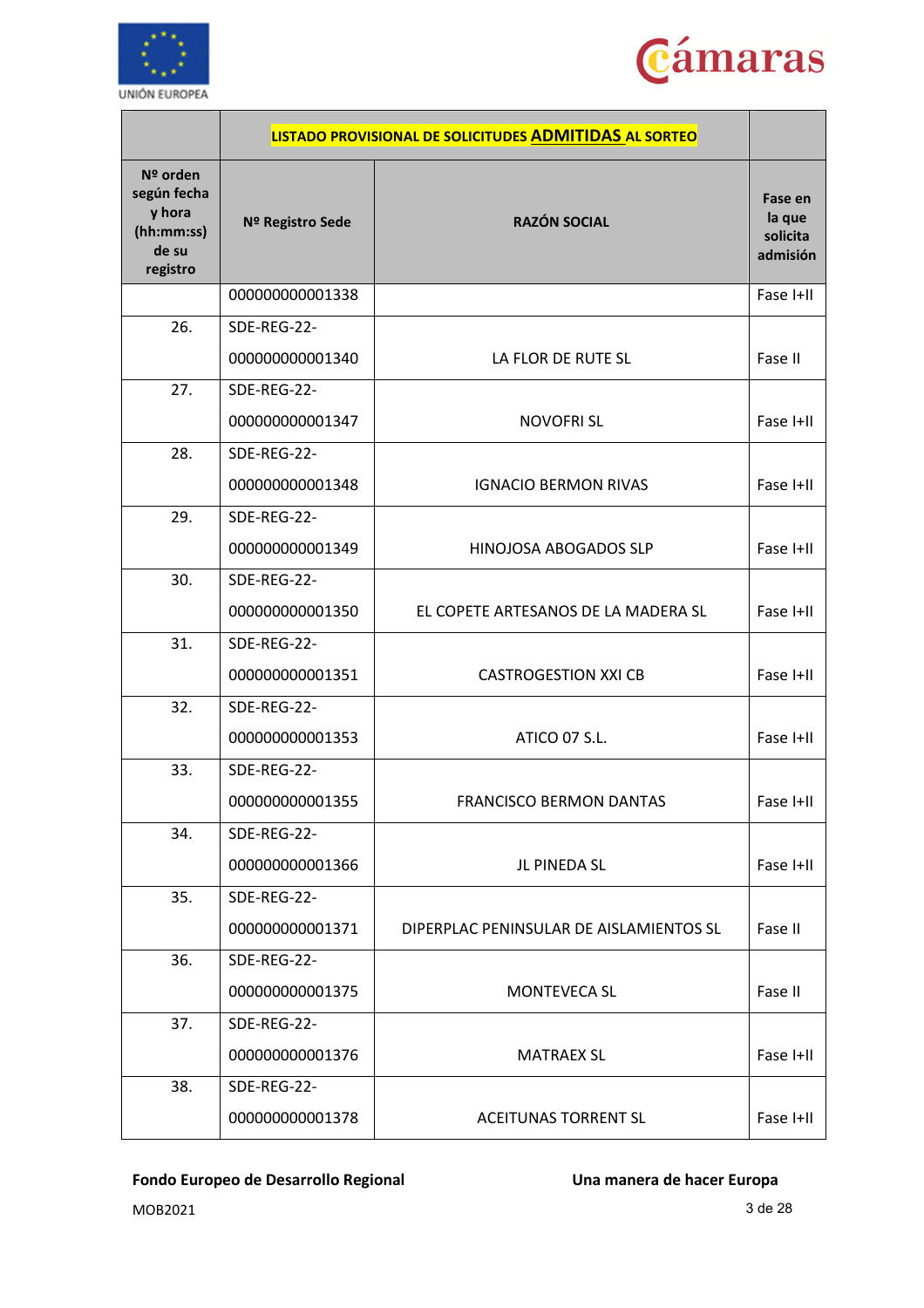



|                                                                      |                  | LISTADO PROVISIONAL DE SOLICITUDES ADMITIDAS AL SORTEO |                                           |
|----------------------------------------------------------------------|------------------|--------------------------------------------------------|-------------------------------------------|
| Nº orden<br>según fecha<br>y hora<br>(hh:mm:ss)<br>de su<br>registro | Nº Registro Sede | <b>RAZÓN SOCIAL</b>                                    | Fase en<br>la que<br>solicita<br>admisión |
|                                                                      | 000000000001338  |                                                        | Fase I+II                                 |
| 26.                                                                  | SDE-REG-22-      |                                                        |                                           |
|                                                                      | 000000000001340  | LA FLOR DE RUTE SL                                     | Fase II                                   |
| 27.                                                                  | SDE-REG-22-      |                                                        |                                           |
|                                                                      | 000000000001347  | <b>NOVOFRISL</b>                                       | Fase I+II                                 |
| 28.                                                                  | SDE-REG-22-      |                                                        |                                           |
|                                                                      | 000000000001348  | <b>IGNACIO BERMON RIVAS</b>                            | Fase I+II                                 |
| 29.                                                                  | SDE-REG-22-      |                                                        |                                           |
|                                                                      | 000000000001349  | HINOJOSA ABOGADOS SLP                                  | Fase I+II                                 |
| 30.                                                                  | SDE-REG-22-      |                                                        |                                           |
|                                                                      | 000000000001350  | EL COPETE ARTESANOS DE LA MADERA SL                    | Fase I+II                                 |
| 31.                                                                  | SDE-REG-22-      |                                                        |                                           |
|                                                                      | 000000000001351  | <b>CASTROGESTION XXI CB</b>                            | Fase I+II                                 |
| 32.                                                                  | SDE-REG-22-      |                                                        |                                           |
|                                                                      | 000000000001353  | ATICO 07 S.L.                                          | Fase I+II                                 |
| 33.                                                                  | SDE-REG-22-      |                                                        |                                           |
|                                                                      | 000000000001355  | <b>FRANCISCO BERMON DANTAS</b>                         | Fase I+II                                 |
| 34.                                                                  | SDE-REG-22-      |                                                        |                                           |
|                                                                      | 000000000001366  | JL PINEDA SL                                           | Fase I+II                                 |
| 35.                                                                  | SDE-REG-22-      |                                                        |                                           |
|                                                                      | 000000000001371  | DIPERPLAC PENINSULAR DE AISLAMIENTOS SL                | Fase II                                   |
| 36.                                                                  | SDE-REG-22-      |                                                        |                                           |
|                                                                      | 000000000001375  | <b>MONTEVECA SL</b>                                    | Fase II                                   |
| 37.                                                                  | SDE-REG-22-      |                                                        |                                           |
|                                                                      | 000000000001376  | <b>MATRAEX SL</b>                                      | Fase I+II                                 |
| 38.                                                                  | SDE-REG-22-      |                                                        |                                           |
|                                                                      | 000000000001378  | <b>ACEITUNAS TORRENT SL</b>                            | Fase I+II                                 |

MOB2021 3 de 28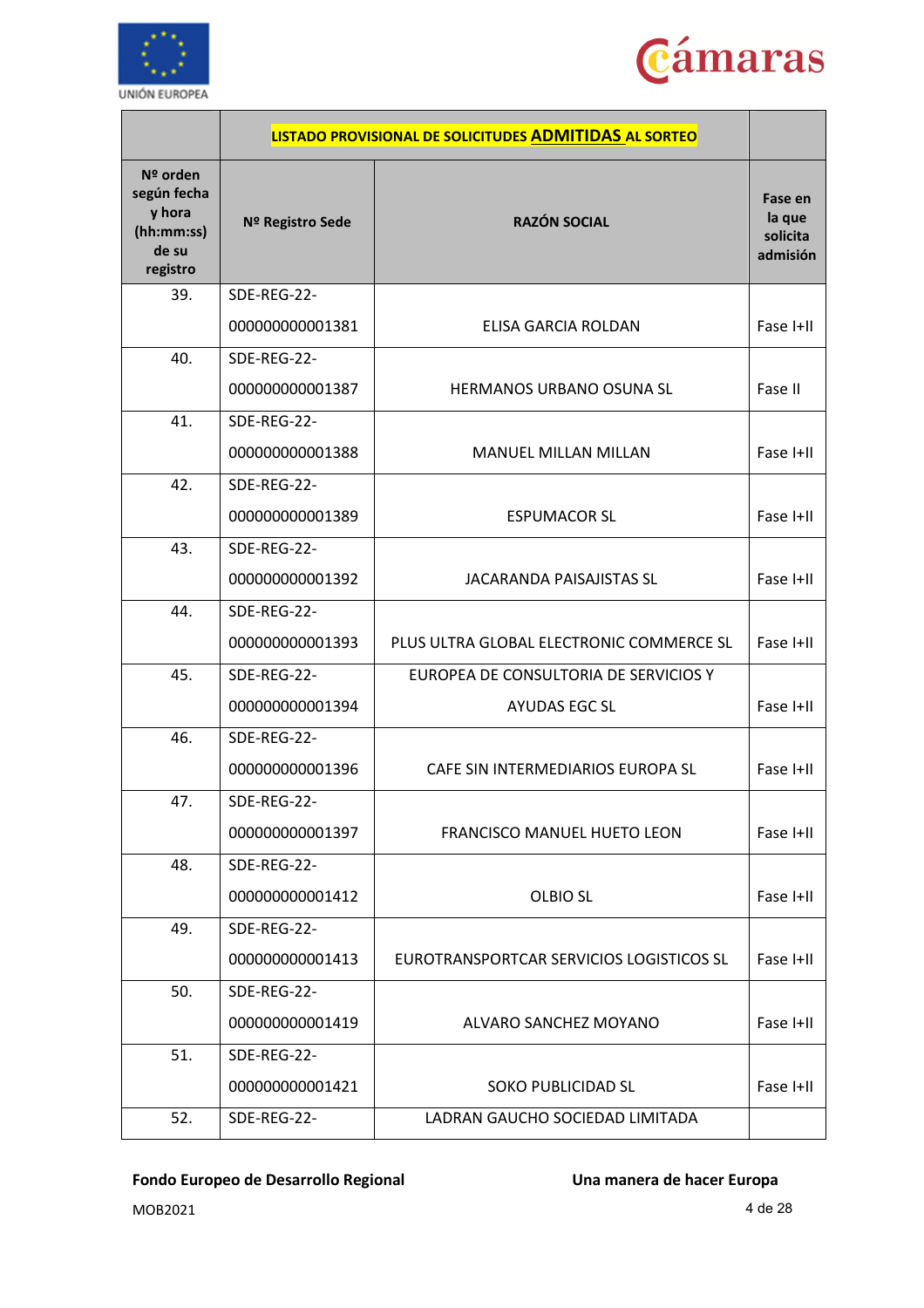



|                                                                      |                  | LISTADO PROVISIONAL DE SOLICITUDES ADMITIDAS AL SORTEO |                                           |
|----------------------------------------------------------------------|------------------|--------------------------------------------------------|-------------------------------------------|
| Nº orden<br>según fecha<br>y hora<br>(hh:mm:ss)<br>de su<br>registro | Nº Registro Sede | <b>RAZÓN SOCIAL</b>                                    | Fase en<br>la que<br>solicita<br>admisión |
| 39.                                                                  | SDE-REG-22-      |                                                        |                                           |
|                                                                      | 000000000001381  | ELISA GARCIA ROLDAN                                    | Fase I+II                                 |
| 40.                                                                  | SDE-REG-22-      |                                                        |                                           |
|                                                                      | 000000000001387  | HERMANOS URBANO OSUNA SL                               | Fase II                                   |
| 41.                                                                  | SDE-REG-22-      |                                                        |                                           |
|                                                                      | 000000000001388  | MANUEL MILLAN MILLAN                                   | Fase I+II                                 |
| 42.                                                                  | SDE-REG-22-      |                                                        |                                           |
|                                                                      | 000000000001389  | <b>ESPUMACOR SL</b>                                    | Fase I+II                                 |
| 43.                                                                  | SDE-REG-22-      |                                                        |                                           |
|                                                                      | 000000000001392  | <b>JACARANDA PAISAJISTAS SL</b>                        | Fase I+II                                 |
| 44.                                                                  | SDE-REG-22-      |                                                        |                                           |
|                                                                      | 000000000001393  | PLUS ULTRA GLOBAL ELECTRONIC COMMERCE SL               | Fase I+II                                 |
| 45.                                                                  | SDE-REG-22-      | EUROPEA DE CONSULTORIA DE SERVICIOS Y                  |                                           |
|                                                                      | 000000000001394  | <b>AYUDAS EGC SL</b>                                   | Fase I+II                                 |
| 46.                                                                  | SDE-REG-22-      |                                                        |                                           |
|                                                                      | 000000000001396  | CAFE SIN INTERMEDIARIOS EUROPA SL                      | Fase I+II                                 |
| 47.                                                                  | SDE-REG-22-      |                                                        |                                           |
|                                                                      | 000000000001397  | FRANCISCO MANUEL HUETO LEON                            | Fase I+II                                 |
| 48.                                                                  | SDE-REG-22-      |                                                        |                                           |
|                                                                      | 000000000001412  | <b>OLBIO SL</b>                                        | Fase I+II                                 |
| 49.                                                                  | SDE-REG-22-      |                                                        |                                           |
|                                                                      | 000000000001413  | EUROTRANSPORTCAR SERVICIOS LOGISTICOS SL               | Fase I+II                                 |
| 50.                                                                  | SDE-REG-22-      |                                                        |                                           |
|                                                                      | 000000000001419  | ALVARO SANCHEZ MOYANO                                  | Fase I+II                                 |
| 51.                                                                  | SDE-REG-22-      |                                                        |                                           |
|                                                                      | 000000000001421  | SOKO PUBLICIDAD SL                                     | Fase I+II                                 |
| 52.                                                                  | SDE-REG-22-      | LADRAN GAUCHO SOCIEDAD LIMITADA                        |                                           |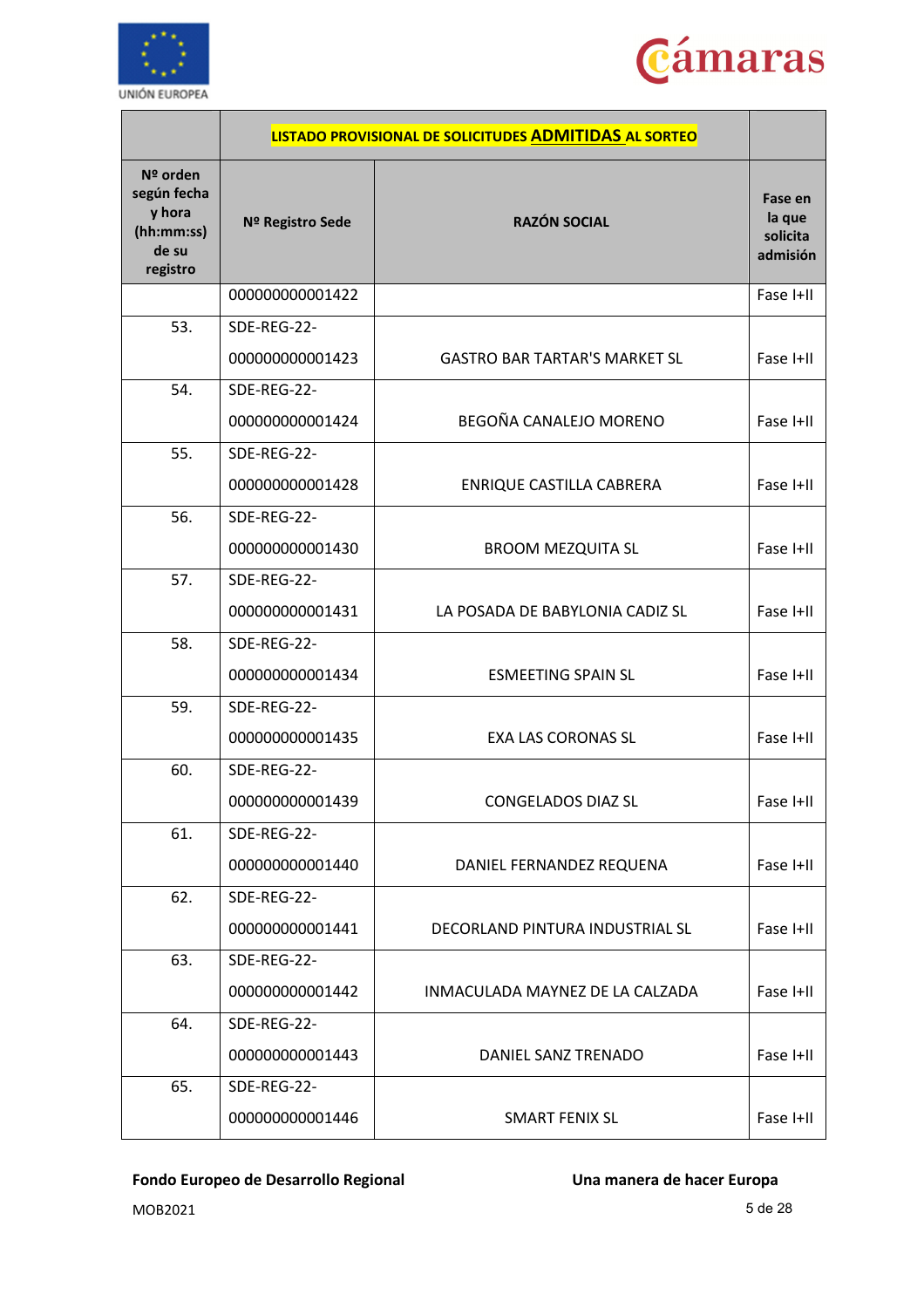



|                                                                      |                  | LISTADO PROVISIONAL DE SOLICITUDES ADMITIDAS AL SORTEO |                                           |
|----------------------------------------------------------------------|------------------|--------------------------------------------------------|-------------------------------------------|
| Nº orden<br>según fecha<br>y hora<br>(hh:mm:ss)<br>de su<br>registro | Nº Registro Sede | <b>RAZÓN SOCIAL</b>                                    | Fase en<br>la que<br>solicita<br>admisión |
|                                                                      | 000000000001422  |                                                        | Fase I+II                                 |
| 53.                                                                  | SDE-REG-22-      |                                                        |                                           |
|                                                                      | 000000000001423  | <b>GASTRO BAR TARTAR'S MARKET SL</b>                   | Fase I+II                                 |
| 54.                                                                  | SDE-REG-22-      |                                                        |                                           |
|                                                                      | 000000000001424  | BEGOÑA CANALEJO MORENO                                 | Fase I+II                                 |
| 55.                                                                  | SDE-REG-22-      |                                                        |                                           |
|                                                                      | 000000000001428  | ENRIQUE CASTILLA CABRERA                               | Fase I+II                                 |
| 56.                                                                  | SDE-REG-22-      |                                                        |                                           |
|                                                                      | 000000000001430  | <b>BROOM MEZQUITA SL</b>                               | Fase I+II                                 |
| 57.                                                                  | SDE-REG-22-      |                                                        |                                           |
|                                                                      | 000000000001431  | LA POSADA DE BABYLONIA CADIZ SL                        | Fase I+II                                 |
| 58.                                                                  | SDE-REG-22-      |                                                        |                                           |
|                                                                      | 000000000001434  | <b>ESMEETING SPAIN SL</b>                              | Fase I+II                                 |
| 59.                                                                  | SDE-REG-22-      |                                                        |                                           |
|                                                                      | 000000000001435  | <b>EXA LAS CORONAS SL</b>                              | Fase I+II                                 |
| 60.                                                                  | SDE-REG-22-      |                                                        |                                           |
|                                                                      | 000000000001439  | CONGELADOS DIAZ SL                                     | Fase I+II                                 |
| 61.                                                                  | SDE-REG-22-      |                                                        |                                           |
|                                                                      | 000000000001440  | DANIEL FERNANDEZ REQUENA                               | Fase I+II                                 |
| 62.                                                                  | SDE-REG-22-      |                                                        |                                           |
|                                                                      | 000000000001441  | DECORLAND PINTURA INDUSTRIAL SL                        | Fase I+II                                 |
| 63.                                                                  | SDE-REG-22-      |                                                        |                                           |
|                                                                      | 000000000001442  | INMACULADA MAYNEZ DE LA CALZADA                        | Fase I+II                                 |
| 64.                                                                  | SDE-REG-22-      |                                                        |                                           |
|                                                                      | 000000000001443  | DANIEL SANZ TRENADO                                    | Fase I+II                                 |
| 65.                                                                  | SDE-REG-22-      |                                                        |                                           |
|                                                                      | 000000000001446  | <b>SMART FENIX SL</b>                                  | Fase I+II                                 |

MOB2021 5 de 28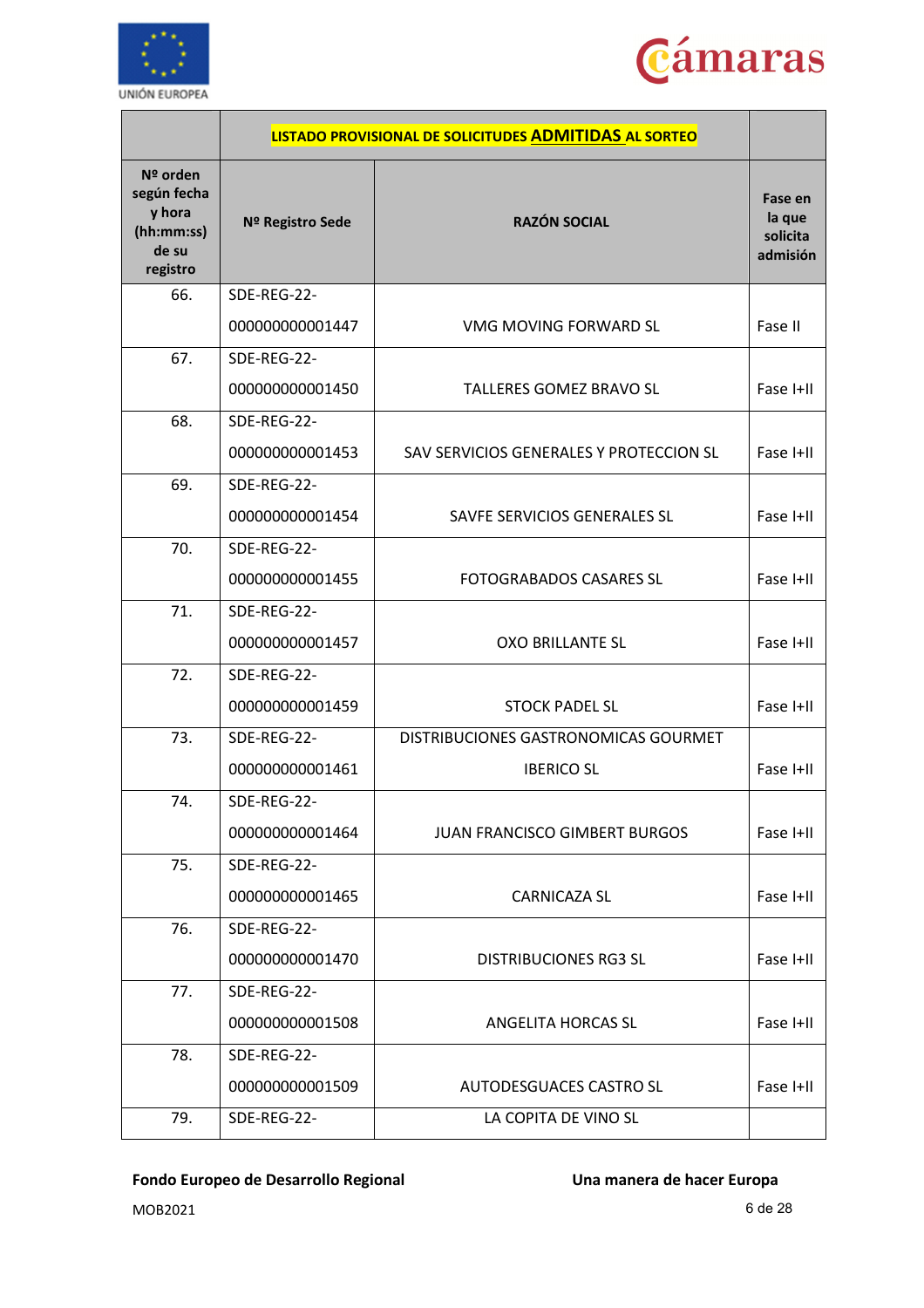



|                                                                      |                  | LISTADO PROVISIONAL DE SOLICITUDES ADMITIDAS AL SORTEO |                                           |
|----------------------------------------------------------------------|------------------|--------------------------------------------------------|-------------------------------------------|
| Nº orden<br>según fecha<br>y hora<br>(hh:mm:ss)<br>de su<br>registro | Nº Registro Sede | <b>RAZÓN SOCIAL</b>                                    | Fase en<br>la que<br>solicita<br>admisión |
| 66.                                                                  | SDE-REG-22-      |                                                        |                                           |
|                                                                      | 000000000001447  | VMG MOVING FORWARD SL                                  | Fase II                                   |
| 67.                                                                  | SDE-REG-22-      |                                                        |                                           |
|                                                                      | 000000000001450  | <b>TALLERES GOMEZ BRAVO SL</b>                         | Fase I+II                                 |
| 68.                                                                  | SDE-REG-22-      |                                                        |                                           |
|                                                                      | 000000000001453  | SAV SERVICIOS GENERALES Y PROTECCION SL                | Fase I+II                                 |
| 69.                                                                  | SDE-REG-22-      |                                                        |                                           |
|                                                                      | 000000000001454  | SAVFE SERVICIOS GENERALES SL                           | Fase I+II                                 |
| 70.                                                                  | SDE-REG-22-      |                                                        |                                           |
|                                                                      | 000000000001455  | <b>FOTOGRABADOS CASARES SL</b>                         | Fase I+II                                 |
| 71.                                                                  | SDE-REG-22-      |                                                        |                                           |
|                                                                      | 000000000001457  | <b>OXO BRILLANTE SL</b>                                | Fase I+II                                 |
| 72.                                                                  | SDE-REG-22-      |                                                        |                                           |
|                                                                      | 000000000001459  | <b>STOCK PADEL SL</b>                                  | Fase I+II                                 |
| 73.                                                                  | SDE-REG-22-      | DISTRIBUCIONES GASTRONOMICAS GOURMET                   |                                           |
|                                                                      | 000000000001461  | <b>IBERICO SL</b>                                      | Fase I+II                                 |
| 74.                                                                  | SDE-REG-22-      |                                                        |                                           |
|                                                                      | 000000000001464  | <b>JUAN FRANCISCO GIMBERT BURGOS</b>                   | Fase I+II                                 |
| 75.                                                                  | SDE-REG-22-      |                                                        |                                           |
|                                                                      | 000000000001465  | <b>CARNICAZA SL</b>                                    | Fase I+II                                 |
| 76.                                                                  | SDE-REG-22-      |                                                        |                                           |
|                                                                      | 000000000001470  | <b>DISTRIBUCIONES RG3 SL</b>                           | Fase I+II                                 |
| 77.                                                                  | SDE-REG-22-      |                                                        |                                           |
|                                                                      | 000000000001508  | ANGELITA HORCAS SL                                     | Fase I+II                                 |
| 78.                                                                  | SDE-REG-22-      |                                                        |                                           |
|                                                                      | 000000000001509  | AUTODESGUACES CASTRO SL                                | Fase I+II                                 |
| 79.                                                                  | SDE-REG-22-      | LA COPITA DE VINO SL                                   |                                           |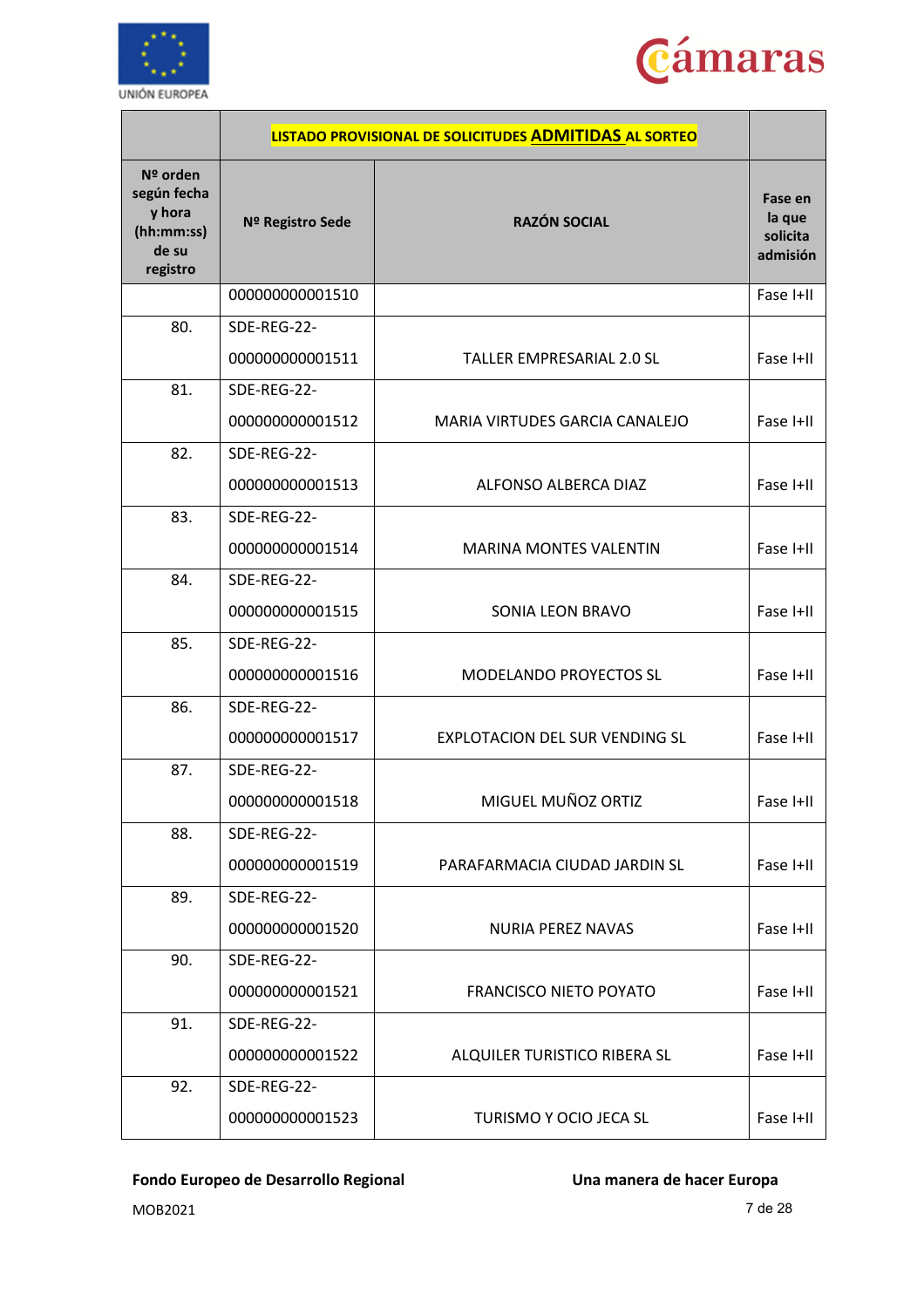



|                                                                      |                  | LISTADO PROVISIONAL DE SOLICITUDES ADMITIDAS AL SORTEO |                                           |
|----------------------------------------------------------------------|------------------|--------------------------------------------------------|-------------------------------------------|
| Nº orden<br>según fecha<br>y hora<br>(hh:mm:ss)<br>de su<br>registro | Nº Registro Sede | <b>RAZÓN SOCIAL</b>                                    | Fase en<br>la que<br>solicita<br>admisión |
|                                                                      | 000000000001510  |                                                        | Fase I+II                                 |
| 80.                                                                  | SDE-REG-22-      |                                                        |                                           |
|                                                                      | 000000000001511  | TALLER EMPRESARIAL 2.0 SL                              | Fase I+II                                 |
| 81.                                                                  | SDE-REG-22-      |                                                        |                                           |
|                                                                      | 000000000001512  | MARIA VIRTUDES GARCIA CANALEJO                         | Fase I+II                                 |
| 82.                                                                  | SDE-REG-22-      |                                                        |                                           |
|                                                                      | 000000000001513  | ALFONSO ALBERCA DIAZ                                   | Fase I+II                                 |
| 83.                                                                  | SDE-REG-22-      |                                                        |                                           |
|                                                                      | 000000000001514  | <b>MARINA MONTES VALENTIN</b>                          | Fase I+II                                 |
| 84.                                                                  | SDE-REG-22-      |                                                        |                                           |
|                                                                      | 000000000001515  | SONIA LEON BRAVO                                       | Fase I+II                                 |
| 85.                                                                  | SDE-REG-22-      |                                                        |                                           |
|                                                                      | 000000000001516  | MODELANDO PROYECTOS SL                                 | Fase I+II                                 |
| 86.                                                                  | SDE-REG-22-      |                                                        |                                           |
|                                                                      | 000000000001517  | <b>EXPLOTACION DEL SUR VENDING SL</b>                  | Fase I+II                                 |
| 87.                                                                  | SDE-REG-22-      |                                                        |                                           |
|                                                                      | 000000000001518  | MIGUEL MUÑOZ ORTIZ                                     | Fase I+II                                 |
| 88.                                                                  | SDE-REG-22-      |                                                        |                                           |
|                                                                      | 000000000001519  | PARAFARMACIA CIUDAD JARDIN SL                          | Fase I+II                                 |
| 89.                                                                  | SDE-REG-22-      |                                                        |                                           |
|                                                                      | 000000000001520  | NURIA PEREZ NAVAS                                      | Fase I+II                                 |
| 90.                                                                  | SDE-REG-22-      |                                                        |                                           |
|                                                                      | 000000000001521  | <b>FRANCISCO NIETO POYATO</b>                          | Fase I+II                                 |
| 91.                                                                  | SDE-REG-22-      |                                                        |                                           |
|                                                                      | 000000000001522  | ALQUILER TURISTICO RIBERA SL                           | Fase I+II                                 |
| 92.                                                                  | SDE-REG-22-      |                                                        |                                           |
|                                                                      | 000000000001523  | TURISMO Y OCIO JECA SL                                 | Fase I+II                                 |

MOB2021 7 de 28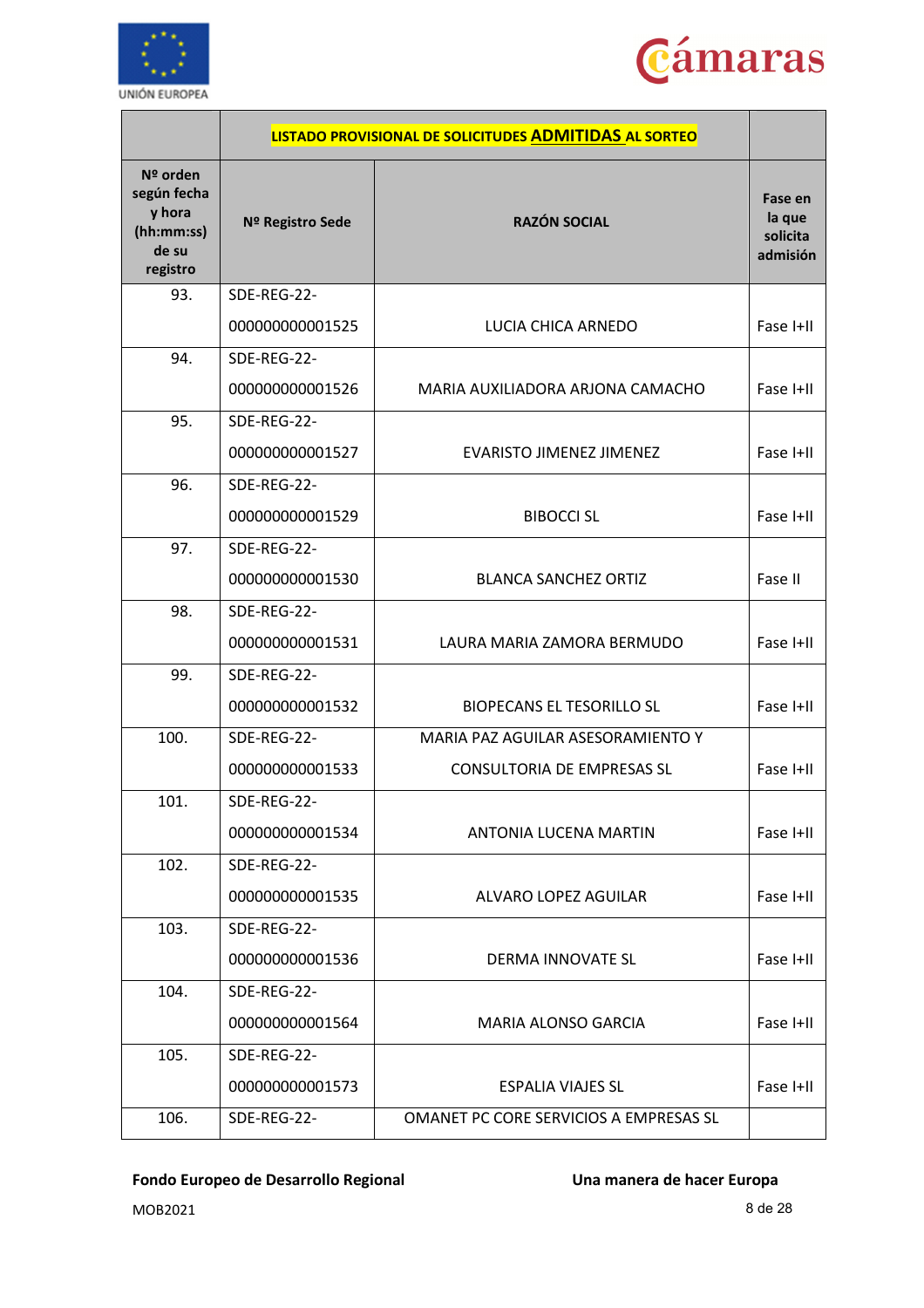



|                                                                      |                  | LISTADO PROVISIONAL DE SOLICITUDES ADMITIDAS AL SORTEO |                                           |
|----------------------------------------------------------------------|------------------|--------------------------------------------------------|-------------------------------------------|
| Nº orden<br>según fecha<br>y hora<br>(hh:mm:ss)<br>de su<br>registro | Nº Registro Sede | <b>RAZÓN SOCIAL</b>                                    | Fase en<br>la que<br>solicita<br>admisión |
| 93.                                                                  | SDE-REG-22-      |                                                        |                                           |
|                                                                      | 000000000001525  | LUCIA CHICA ARNEDO                                     | Fase I+II                                 |
| 94.                                                                  | SDE-REG-22-      |                                                        |                                           |
|                                                                      | 000000000001526  | MARIA AUXILIADORA ARJONA CAMACHO                       | Fase I+II                                 |
| 95.                                                                  | SDE-REG-22-      |                                                        |                                           |
|                                                                      | 000000000001527  | <b>EVARISTO JIMENEZ JIMENEZ</b>                        | Fase I+II                                 |
| 96.                                                                  | SDE-REG-22-      |                                                        |                                           |
|                                                                      | 000000000001529  | <b>BIBOCCI SL</b>                                      | Fase I+II                                 |
| 97.                                                                  | SDE-REG-22-      |                                                        |                                           |
|                                                                      | 000000000001530  | <b>BLANCA SANCHEZ ORTIZ</b>                            | Fase II                                   |
| 98.                                                                  | SDE-REG-22-      |                                                        |                                           |
|                                                                      | 000000000001531  | LAURA MARIA ZAMORA BERMUDO                             | Fase I+II                                 |
| 99.                                                                  | SDE-REG-22-      |                                                        |                                           |
|                                                                      | 000000000001532  | <b>BIOPECANS EL TESORILLO SL</b>                       | Fase I+II                                 |
| 100.                                                                 | SDE-REG-22-      | MARIA PAZ AGUILAR ASESORAMIENTO Y                      |                                           |
|                                                                      | 000000000001533  | <b>CONSULTORIA DE EMPRESAS SL</b>                      | Fase I+II                                 |
| 101.                                                                 | SDE-REG-22-      |                                                        |                                           |
|                                                                      | 000000000001534  | ANTONIA LUCENA MARTIN                                  | Fase I+II                                 |
| 102.                                                                 | SDE-REG-22-      |                                                        |                                           |
|                                                                      | 000000000001535  | ALVARO LOPEZ AGUILAR                                   | Fase I+II                                 |
| 103.                                                                 | SDE-REG-22-      |                                                        |                                           |
|                                                                      | 000000000001536  | DERMA INNOVATE SL                                      | Fase I+II                                 |
| 104.                                                                 | SDE-REG-22-      |                                                        |                                           |
|                                                                      | 000000000001564  | MARIA ALONSO GARCIA                                    | Fase I+II                                 |
| 105.                                                                 | SDE-REG-22-      |                                                        |                                           |
|                                                                      | 000000000001573  | <b>ESPALIA VIAJES SL</b>                               | Fase I+II                                 |
| 106.                                                                 | SDE-REG-22-      | OMANET PC CORE SERVICIOS A EMPRESAS SL                 |                                           |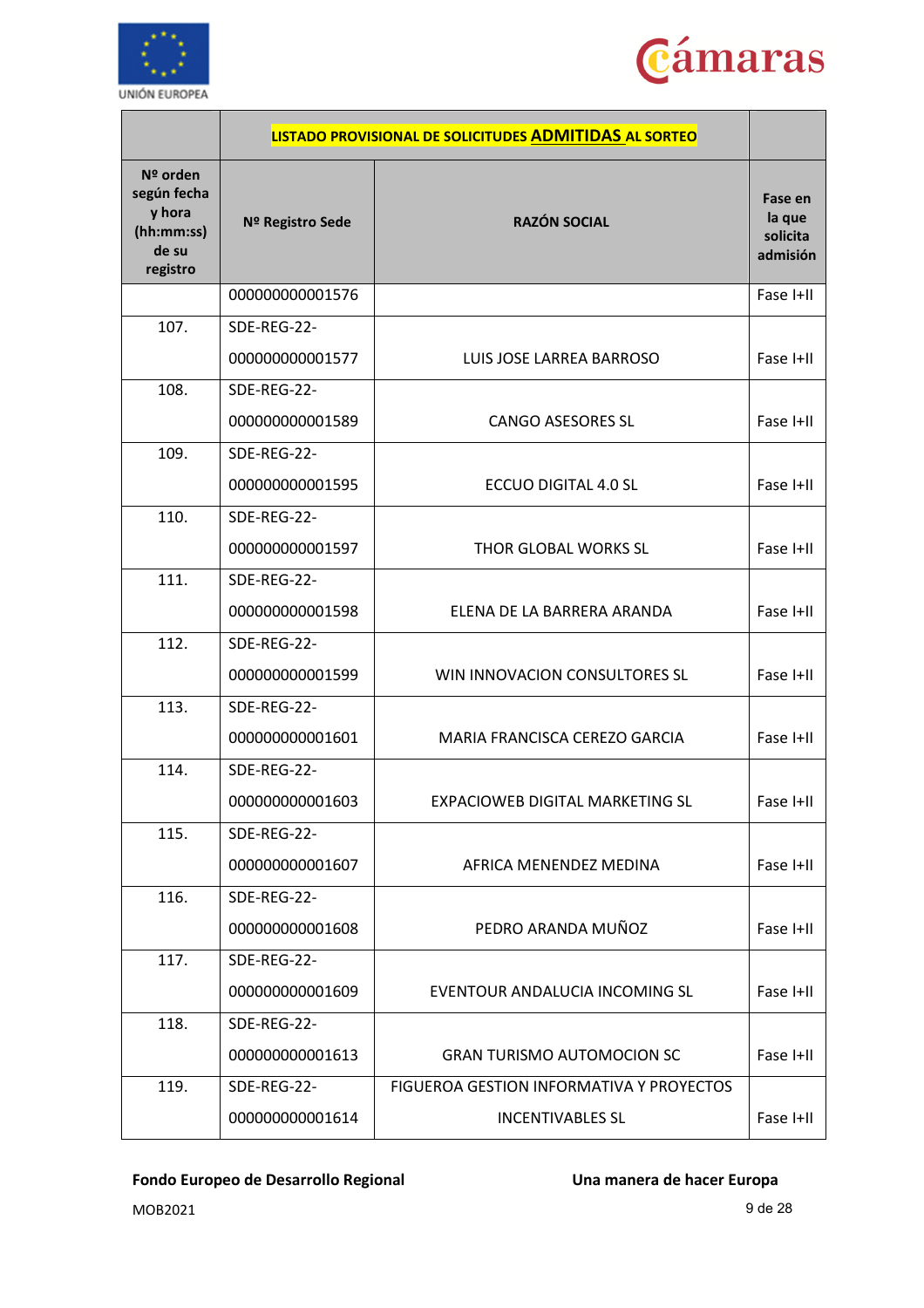



|                                                                      |                  | LISTADO PROVISIONAL DE SOLICITUDES ADMITIDAS AL SORTEO |                                           |
|----------------------------------------------------------------------|------------------|--------------------------------------------------------|-------------------------------------------|
| Nº orden<br>según fecha<br>y hora<br>(hh:mm:ss)<br>de su<br>registro | Nº Registro Sede | <b>RAZÓN SOCIAL</b>                                    | Fase en<br>la que<br>solicita<br>admisión |
|                                                                      | 000000000001576  |                                                        | Fase I+II                                 |
| 107.                                                                 | SDE-REG-22-      |                                                        |                                           |
|                                                                      | 000000000001577  | LUIS JOSE LARREA BARROSO                               | Fase I+II                                 |
| 108.                                                                 | SDE-REG-22-      |                                                        |                                           |
|                                                                      | 000000000001589  | <b>CANGO ASESORES SL</b>                               | Fase I+II                                 |
| 109.                                                                 | SDE-REG-22-      |                                                        |                                           |
|                                                                      | 000000000001595  | ECCUO DIGITAL 4.0 SL                                   | Fase I+II                                 |
| 110.                                                                 | SDE-REG-22-      |                                                        |                                           |
|                                                                      | 000000000001597  | THOR GLOBAL WORKS SL                                   | Fase I+II                                 |
| 111.                                                                 | SDE-REG-22-      |                                                        |                                           |
|                                                                      | 000000000001598  | ELENA DE LA BARRERA ARANDA                             | Fase I+II                                 |
| 112.                                                                 | SDE-REG-22-      |                                                        |                                           |
|                                                                      | 000000000001599  | WIN INNOVACION CONSULTORES SL                          | Fase I+II                                 |
| 113.                                                                 | SDE-REG-22-      |                                                        |                                           |
|                                                                      | 000000000001601  | MARIA FRANCISCA CEREZO GARCIA                          | Fase I+II                                 |
| 114.                                                                 | SDE-REG-22-      |                                                        |                                           |
|                                                                      | 000000000001603  | EXPACIOWEB DIGITAL MARKETING SL                        | Fase I+II                                 |
| 115.                                                                 | SDE-REG-22-      |                                                        |                                           |
|                                                                      | 000000000001607  | AFRICA MENENDEZ MEDINA                                 | Fase I+II                                 |
| 116.                                                                 | SDE-REG-22-      |                                                        |                                           |
|                                                                      | 000000000001608  | PEDRO ARANDA MUÑOZ                                     | Fase I+II                                 |
| 117.                                                                 | SDE-REG-22-      |                                                        |                                           |
|                                                                      | 000000000001609  | EVENTOUR ANDALUCIA INCOMING SL                         | Fase I+II                                 |
| 118.                                                                 | SDE-REG-22-      |                                                        |                                           |
|                                                                      | 000000000001613  | <b>GRAN TURISMO AUTOMOCION SC</b>                      | Fase I+II                                 |
| 119.                                                                 | SDE-REG-22-      | FIGUEROA GESTION INFORMATIVA Y PROYECTOS               |                                           |
|                                                                      | 000000000001614  | <b>INCENTIVABLES SL</b>                                | Fase I+II                                 |

MOB2021 9 de 28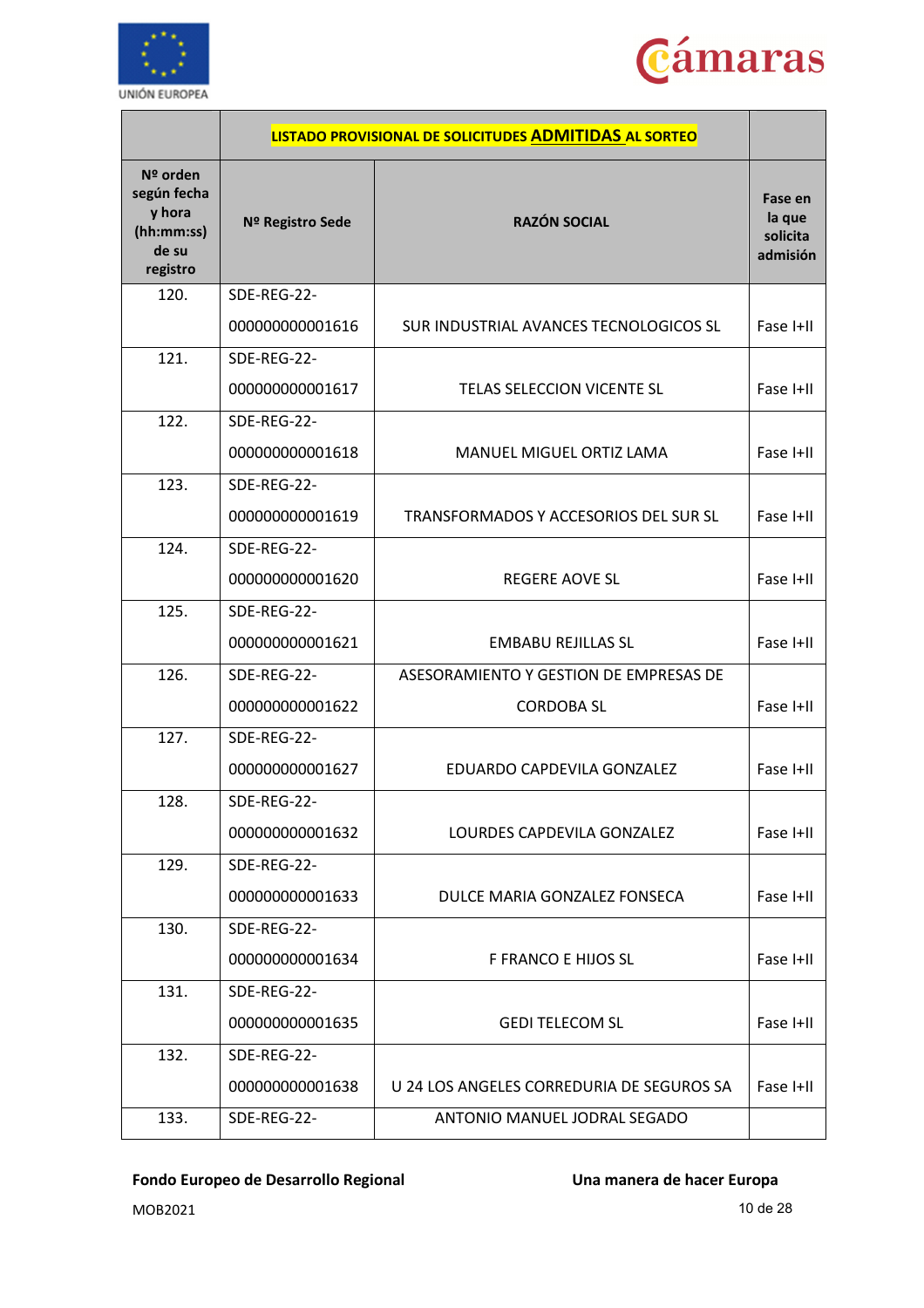



|                                                                        |                  | LISTADO PROVISIONAL DE SOLICITUDES ADMITIDAS AL SORTEO |                                           |
|------------------------------------------------------------------------|------------------|--------------------------------------------------------|-------------------------------------------|
| $No$ orden<br>según fecha<br>y hora<br>(hh:mm:ss)<br>de su<br>registro | Nº Registro Sede | <b>RAZÓN SOCIAL</b>                                    | Fase en<br>la que<br>solicita<br>admisión |
| 120.                                                                   | SDE-REG-22-      |                                                        |                                           |
|                                                                        | 000000000001616  | SUR INDUSTRIAL AVANCES TECNOLOGICOS SL                 | Fase I+II                                 |
| 121.                                                                   | SDE-REG-22-      |                                                        |                                           |
|                                                                        | 000000000001617  | TELAS SELECCION VICENTE SL                             | Fase I+II                                 |
| 122.                                                                   | SDE-REG-22-      |                                                        |                                           |
|                                                                        | 000000000001618  | <b>MANUEL MIGUEL ORTIZ LAMA</b>                        | Fase I+II                                 |
| 123.                                                                   | SDE-REG-22-      |                                                        |                                           |
|                                                                        | 000000000001619  | TRANSFORMADOS Y ACCESORIOS DEL SUR SL                  | Fase I+II                                 |
| 124.                                                                   | SDE-REG-22-      |                                                        |                                           |
|                                                                        | 000000000001620  | <b>REGERE AOVE SL</b>                                  | Fase I+II                                 |
| 125.                                                                   | SDE-REG-22-      |                                                        |                                           |
|                                                                        | 000000000001621  | <b>EMBABU REJILLAS SL</b>                              | Fase I+II                                 |
| 126.                                                                   | SDE-REG-22-      | ASESORAMIENTO Y GESTION DE EMPRESAS DE                 |                                           |
|                                                                        | 000000000001622  | <b>CORDOBA SL</b>                                      | Fase I+II                                 |
| 127.                                                                   | SDE-REG-22-      |                                                        |                                           |
|                                                                        | 000000000001627  | EDUARDO CAPDEVILA GONZALEZ                             | Fase I+II                                 |
| 128.                                                                   | SDE-REG-22-      |                                                        |                                           |
|                                                                        | 000000000001632  | LOURDES CAPDEVILA GONZALEZ                             | Fase I+II                                 |
| 129.                                                                   | SDE-REG-22-      |                                                        |                                           |
|                                                                        | 000000000001633  | DULCE MARIA GONZALEZ FONSECA                           | Fase I+II                                 |
| 130.                                                                   | SDE-REG-22-      |                                                        |                                           |
|                                                                        | 000000000001634  | F FRANCO E HIJOS SL                                    | Fase I+II                                 |
| 131.                                                                   | SDE-REG-22-      |                                                        |                                           |
|                                                                        | 000000000001635  | <b>GEDI TELECOM SL</b>                                 | Fase I+II                                 |
| 132.                                                                   | SDE-REG-22-      |                                                        |                                           |
|                                                                        | 000000000001638  | U 24 LOS ANGELES CORREDURIA DE SEGUROS SA              | Fase I+II                                 |
| 133.                                                                   | SDE-REG-22-      | ANTONIO MANUEL JODRAL SEGADO                           |                                           |

MOB2021 10 de 28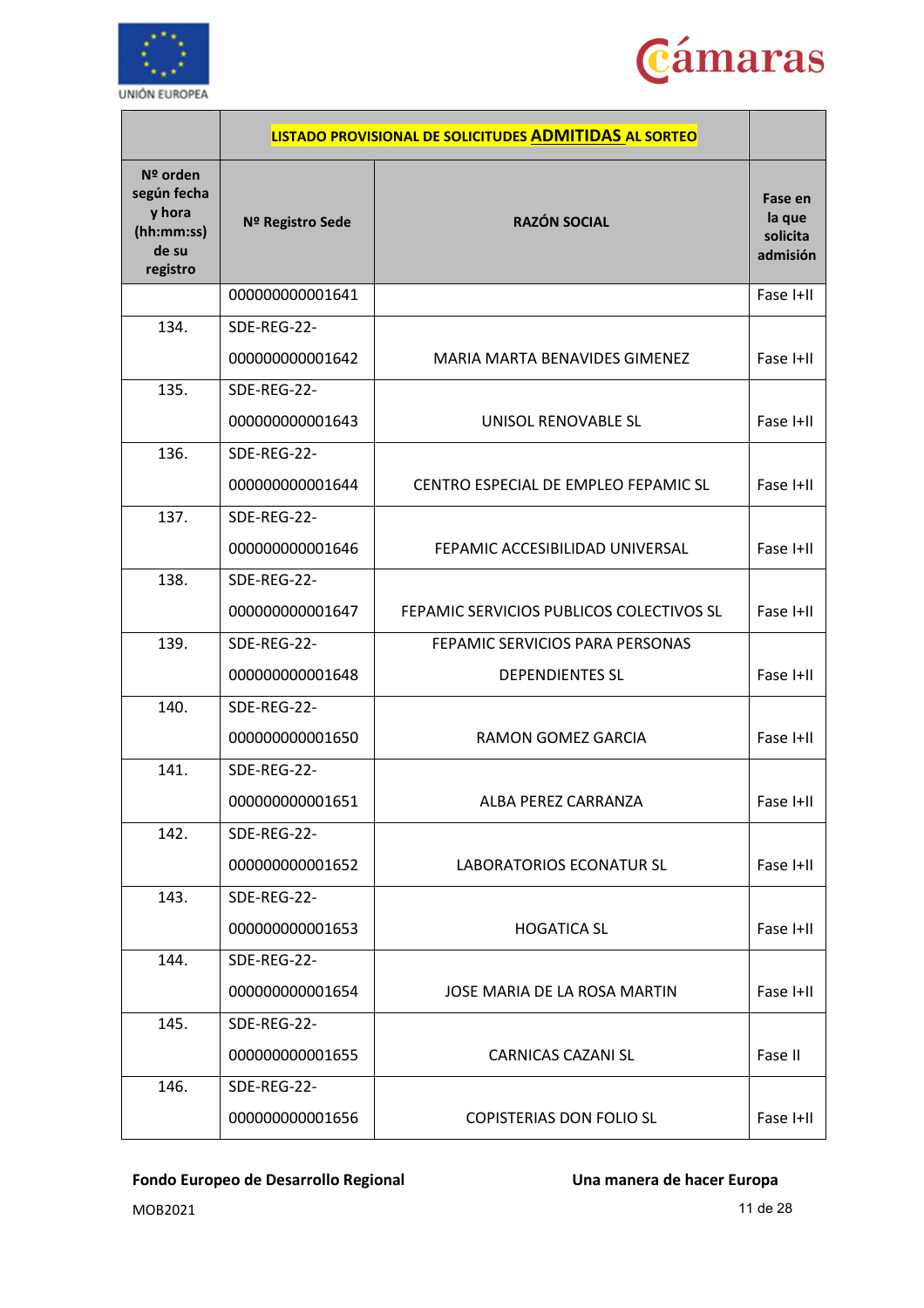



|                                                                      |                  | LISTADO PROVISIONAL DE SOLICITUDES ADMITIDAS AL SORTEO |                                           |
|----------------------------------------------------------------------|------------------|--------------------------------------------------------|-------------------------------------------|
| Nº orden<br>según fecha<br>y hora<br>(hh:mm:ss)<br>de su<br>registro | Nº Registro Sede | <b>RAZÓN SOCIAL</b>                                    | Fase en<br>la que<br>solicita<br>admisión |
|                                                                      | 000000000001641  |                                                        | Fase I+II                                 |
| 134.                                                                 | SDE-REG-22-      |                                                        |                                           |
|                                                                      | 000000000001642  | MARIA MARTA BENAVIDES GIMENEZ                          | Fase I+II                                 |
| 135.                                                                 | SDE-REG-22-      |                                                        |                                           |
|                                                                      | 000000000001643  | UNISOL RENOVABLE SL                                    | Fase I+II                                 |
| 136.                                                                 | SDE-REG-22-      |                                                        |                                           |
|                                                                      | 000000000001644  | CENTRO ESPECIAL DE EMPLEO FEPAMIC SL                   | Fase I+II                                 |
| 137.                                                                 | SDE-REG-22-      |                                                        |                                           |
|                                                                      | 000000000001646  | FEPAMIC ACCESIBILIDAD UNIVERSAL                        | Fase I+II                                 |
| 138.                                                                 | SDE-REG-22-      |                                                        |                                           |
|                                                                      | 000000000001647  | FEPAMIC SERVICIOS PUBLICOS COLECTIVOS SL               | Fase I+II                                 |
| 139.                                                                 | SDE-REG-22-      | FEPAMIC SERVICIOS PARA PERSONAS                        |                                           |
|                                                                      | 000000000001648  | <b>DEPENDIENTES SL</b>                                 | Fase I+II                                 |
| 140.                                                                 | SDE-REG-22-      |                                                        |                                           |
|                                                                      | 000000000001650  | <b>RAMON GOMEZ GARCIA</b>                              | Fase I+II                                 |
| 141.                                                                 | SDE-REG-22-      |                                                        |                                           |
|                                                                      | 000000000001651  | ALBA PEREZ CARRANZA                                    | Fase I+II                                 |
| 142.                                                                 | SDE-REG-22-      |                                                        |                                           |
|                                                                      | 000000000001652  | <b>LABORATORIOS ECONATUR SL</b>                        | Fase I+II                                 |
| 143.                                                                 | SDE-REG-22-      |                                                        |                                           |
|                                                                      | 000000000001653  | <b>HOGATICA SL</b>                                     | Fase I+II                                 |
| 144.                                                                 | SDE-REG-22-      |                                                        |                                           |
|                                                                      | 000000000001654  | JOSE MARIA DE LA ROSA MARTIN                           | Fase I+II                                 |
| 145.                                                                 | SDE-REG-22-      |                                                        |                                           |
|                                                                      | 000000000001655  | <b>CARNICAS CAZANI SL</b>                              | Fase II                                   |
| 146.                                                                 | SDE-REG-22-      |                                                        |                                           |
|                                                                      | 000000000001656  | <b>COPISTERIAS DON FOLIO SL</b>                        | Fase I+II                                 |

MOB2021 11 de 28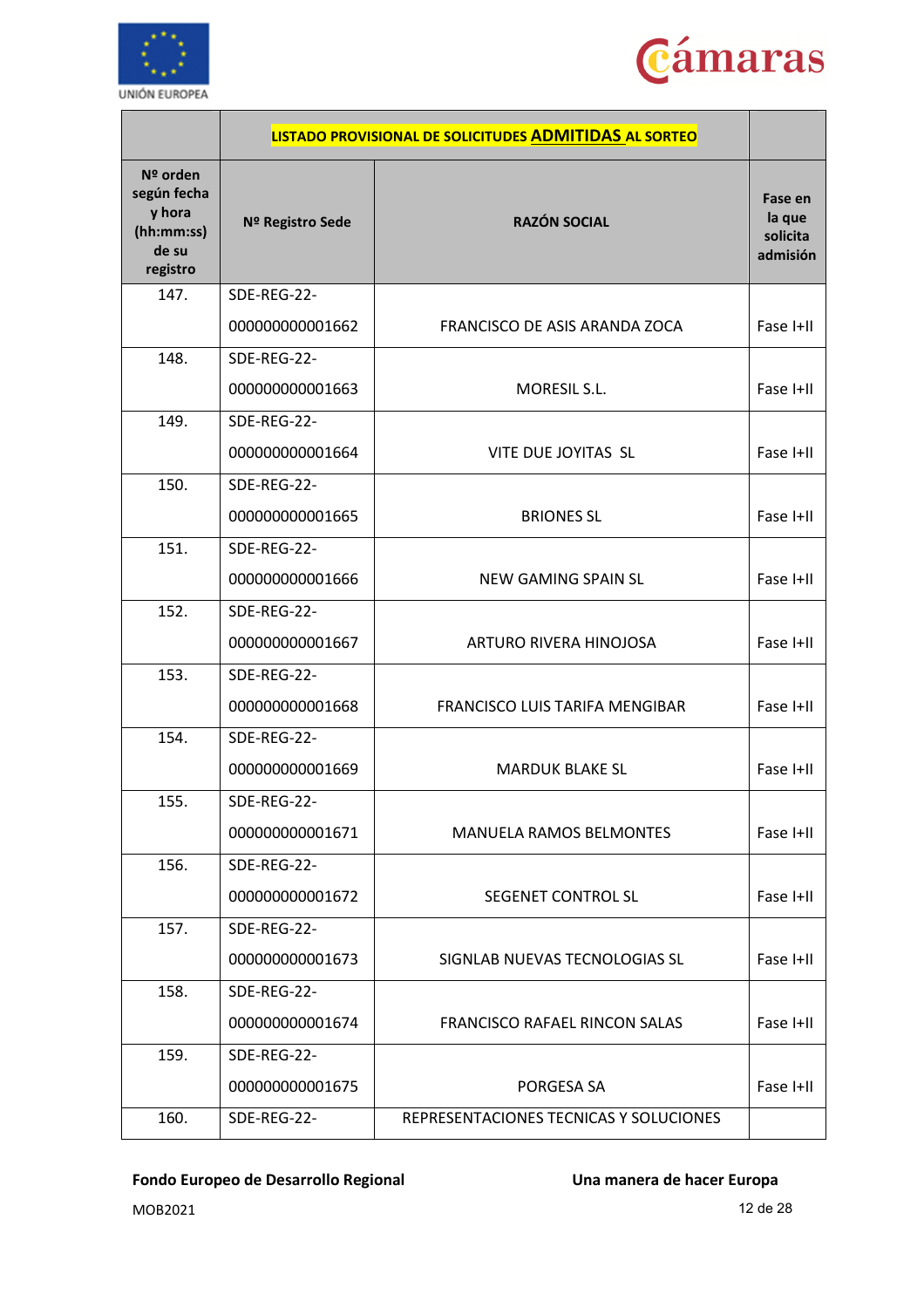



|                                                                        |                  | LISTADO PROVISIONAL DE SOLICITUDES ADMITIDAS AL SORTEO |                                           |
|------------------------------------------------------------------------|------------------|--------------------------------------------------------|-------------------------------------------|
| $No$ orden<br>según fecha<br>y hora<br>(hh:mm:ss)<br>de su<br>registro | Nº Registro Sede | <b>RAZÓN SOCIAL</b>                                    | Fase en<br>la que<br>solicita<br>admisión |
| 147.                                                                   | SDE-REG-22-      |                                                        |                                           |
|                                                                        | 000000000001662  | FRANCISCO DE ASIS ARANDA ZOCA                          | Fase I+II                                 |
| 148.                                                                   | SDE-REG-22-      |                                                        |                                           |
|                                                                        | 000000000001663  | MORESIL S.L.                                           | Fase I+II                                 |
| 149.                                                                   | SDE-REG-22-      |                                                        |                                           |
|                                                                        | 000000000001664  | VITE DUE JOYITAS SL                                    | Fase I+II                                 |
| 150.                                                                   | SDE-REG-22-      |                                                        |                                           |
|                                                                        | 000000000001665  | <b>BRIONES SL</b>                                      | Fase I+II                                 |
| 151.                                                                   | SDE-REG-22-      |                                                        |                                           |
|                                                                        | 000000000001666  | NEW GAMING SPAIN SL                                    | Fase I+II                                 |
| 152.                                                                   | SDE-REG-22-      |                                                        |                                           |
|                                                                        | 000000000001667  | ARTURO RIVERA HINOJOSA                                 | Fase I+II                                 |
| 153.                                                                   | SDE-REG-22-      |                                                        |                                           |
|                                                                        | 000000000001668  | FRANCISCO LUIS TARIFA MENGIBAR                         | Fase I+II                                 |
| 154.                                                                   | SDE-REG-22-      |                                                        |                                           |
|                                                                        | 000000000001669  | <b>MARDUK BLAKE SL</b>                                 | Fase I+II                                 |
| 155.                                                                   | SDE-REG-22-      |                                                        |                                           |
|                                                                        | 000000000001671  | <b>MANUELA RAMOS BELMONTES</b>                         | Fase I+II                                 |
| 156.                                                                   | SDE-REG-22-      |                                                        |                                           |
|                                                                        | 000000000001672  | SEGENET CONTROL SL                                     | Fase I+II                                 |
| 157.                                                                   | SDE-REG-22-      |                                                        |                                           |
|                                                                        | 000000000001673  | SIGNLAB NUEVAS TECNOLOGIAS SL                          | Fase I+II                                 |
| 158.                                                                   | SDE-REG-22-      |                                                        |                                           |
|                                                                        | 000000000001674  | FRANCISCO RAFAEL RINCON SALAS                          | Fase I+II                                 |
| 159.                                                                   | SDE-REG-22-      |                                                        |                                           |
|                                                                        | 000000000001675  | PORGESA SA                                             | Fase I+II                                 |
| 160.                                                                   | SDE-REG-22-      | REPRESENTACIONES TECNICAS Y SOLUCIONES                 |                                           |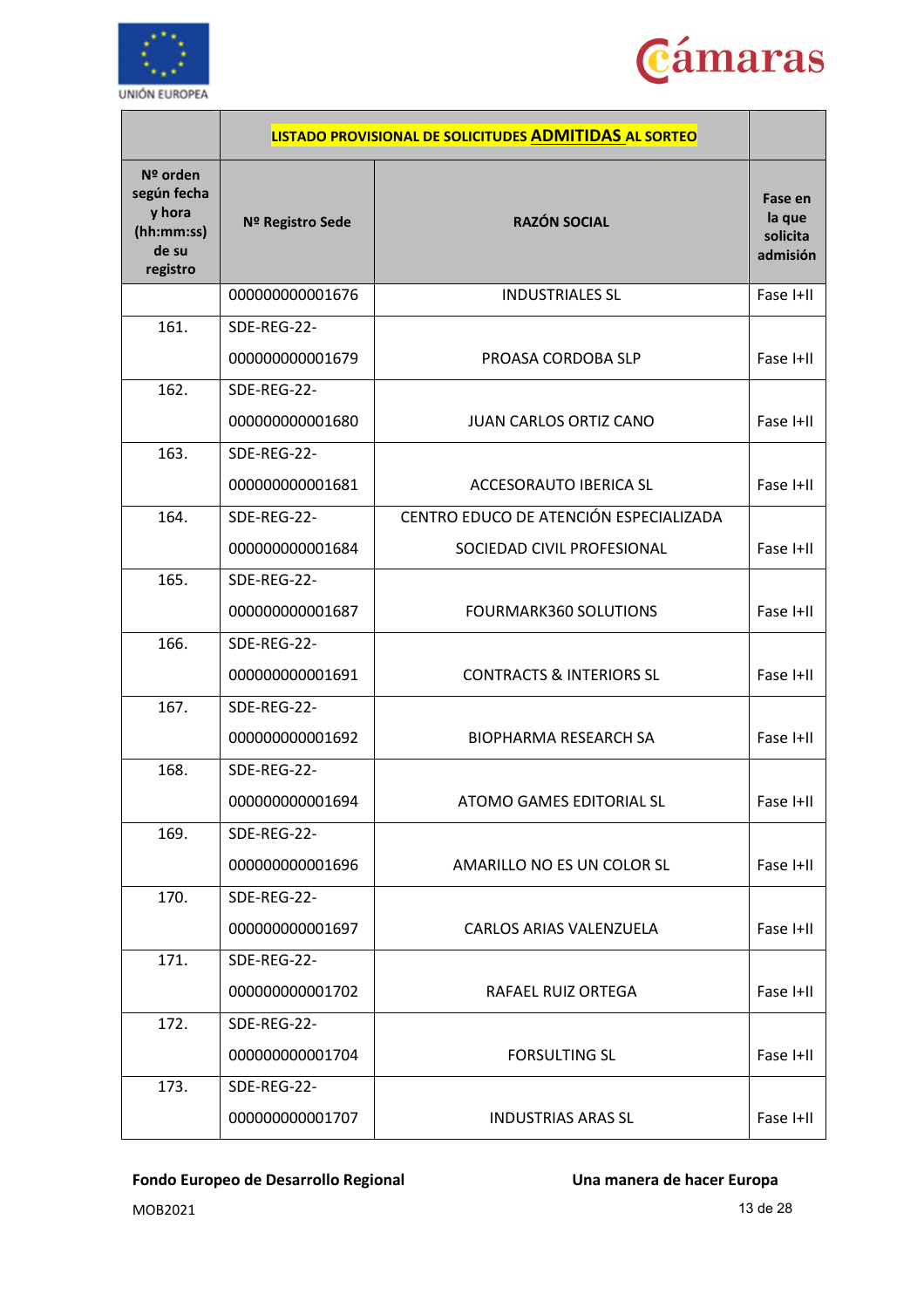



|                                                                      |                  | LISTADO PROVISIONAL DE SOLICITUDES ADMITIDAS AL SORTEO |                                           |
|----------------------------------------------------------------------|------------------|--------------------------------------------------------|-------------------------------------------|
| Nº orden<br>según fecha<br>y hora<br>(hh:mm:ss)<br>de su<br>registro | Nº Registro Sede | <b>RAZÓN SOCIAL</b>                                    | Fase en<br>la que<br>solicita<br>admisión |
|                                                                      | 000000000001676  | <b>INDUSTRIALES SL</b>                                 | Fase I+II                                 |
| 161.                                                                 | SDE-REG-22-      |                                                        |                                           |
|                                                                      | 000000000001679  | PROASA CORDOBA SLP                                     | Fase I+II                                 |
| 162.                                                                 | SDE-REG-22-      |                                                        |                                           |
|                                                                      | 000000000001680  | <b>JUAN CARLOS ORTIZ CANO</b>                          | Fase I+II                                 |
| 163.                                                                 | SDE-REG-22-      |                                                        |                                           |
|                                                                      | 000000000001681  | ACCESORAUTO IBERICA SL                                 | Fase I+II                                 |
| 164.                                                                 | SDE-REG-22-      | CENTRO EDUCO DE ATENCIÓN ESPECIALIZADA                 |                                           |
|                                                                      | 000000000001684  | SOCIEDAD CIVIL PROFESIONAL                             | Fase I+II                                 |
| 165.                                                                 | SDE-REG-22-      |                                                        |                                           |
|                                                                      | 000000000001687  | <b>FOURMARK360 SOLUTIONS</b>                           | Fase I+II                                 |
| 166.                                                                 | SDE-REG-22-      |                                                        |                                           |
|                                                                      | 000000000001691  | <b>CONTRACTS &amp; INTERIORS SL</b>                    | Fase I+II                                 |
| 167.                                                                 | SDE-REG-22-      |                                                        |                                           |
|                                                                      | 000000000001692  | <b>BIOPHARMA RESEARCH SA</b>                           | Fase I+II                                 |
| 168.                                                                 | SDE-REG-22-      |                                                        |                                           |
|                                                                      | 000000000001694  | <b>ATOMO GAMES EDITORIAL SL</b>                        | Fase I+II                                 |
| 169.                                                                 | SDE-REG-22-      |                                                        |                                           |
|                                                                      | 000000000001696  | AMARILLO NO ES UN COLOR SL                             | Fase I+II                                 |
| 170.                                                                 | SDE-REG-22-      |                                                        |                                           |
|                                                                      | 000000000001697  | CARLOS ARIAS VALENZUELA                                | Fase I+II                                 |
| 171.                                                                 | SDE-REG-22-      |                                                        |                                           |
|                                                                      | 000000000001702  | <b>RAFAEL RUIZ ORTEGA</b>                              | Fase I+II                                 |
| 172.                                                                 | SDE-REG-22-      |                                                        |                                           |
|                                                                      | 000000000001704  | <b>FORSULTING SL</b>                                   | Fase I+II                                 |
| 173.                                                                 | SDE-REG-22-      |                                                        |                                           |
|                                                                      | 000000000001707  | <b>INDUSTRIAS ARAS SL</b>                              | Fase I+II                                 |

MOB2021 13 de 28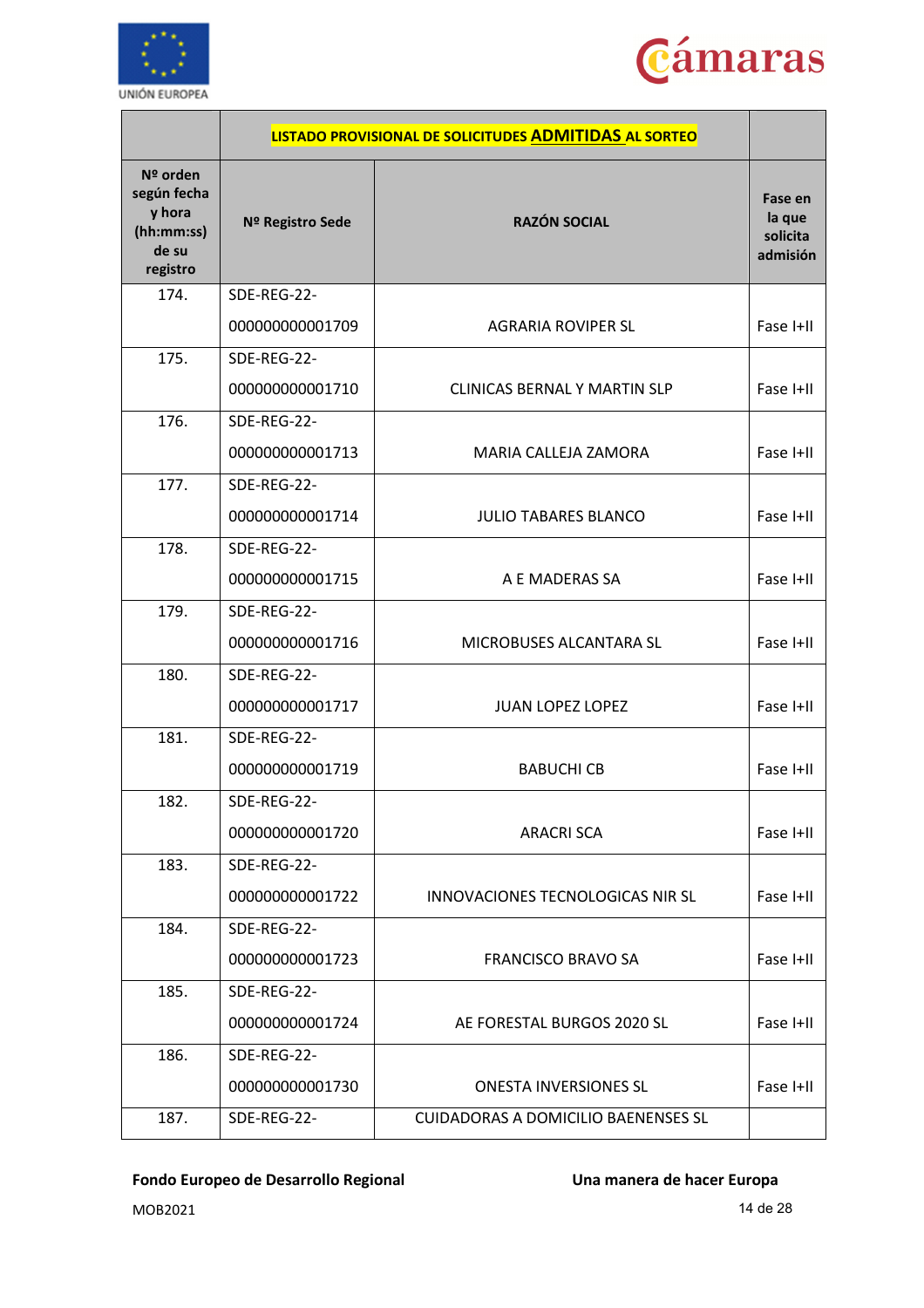



|                                                                      |                  | LISTADO PROVISIONAL DE SOLICITUDES ADMITIDAS AL SORTEO |                                           |
|----------------------------------------------------------------------|------------------|--------------------------------------------------------|-------------------------------------------|
| Nº orden<br>según fecha<br>y hora<br>(hh:mm:ss)<br>de su<br>registro | Nº Registro Sede | <b>RAZÓN SOCIAL</b>                                    | Fase en<br>la que<br>solicita<br>admisión |
| 174.                                                                 | SDE-REG-22-      |                                                        |                                           |
|                                                                      | 000000000001709  | <b>AGRARIA ROVIPER SL</b>                              | Fase I+II                                 |
| 175.                                                                 | SDE-REG-22-      |                                                        |                                           |
|                                                                      | 000000000001710  | CLINICAS BERNAL Y MARTIN SLP                           | Fase I+II                                 |
| 176.                                                                 | SDE-REG-22-      |                                                        |                                           |
|                                                                      | 000000000001713  | MARIA CALLEJA ZAMORA                                   | Fase I+II                                 |
| 177.                                                                 | SDE-REG-22-      |                                                        |                                           |
|                                                                      | 000000000001714  | <b>JULIO TABARES BLANCO</b>                            | Fase I+II                                 |
| 178.                                                                 | SDE-REG-22-      |                                                        |                                           |
|                                                                      | 000000000001715  | A E MADERAS SA                                         | Fase I+II                                 |
| 179.                                                                 | SDE-REG-22-      |                                                        |                                           |
|                                                                      | 000000000001716  | MICROBUSES ALCANTARA SL                                | Fase I+II                                 |
| 180.                                                                 | SDE-REG-22-      |                                                        |                                           |
|                                                                      | 000000000001717  | <b>JUAN LOPEZ LOPEZ</b>                                | Fase I+II                                 |
| 181.                                                                 | SDE-REG-22-      |                                                        |                                           |
|                                                                      | 000000000001719  | <b>BABUCHI CB</b>                                      | Fase I+II                                 |
| 182.                                                                 | SDE-REG-22-      |                                                        |                                           |
|                                                                      | 000000000001720  | <b>ARACRI SCA</b>                                      | Fase I+II                                 |
| 183.                                                                 | SDE-REG-22-      |                                                        |                                           |
|                                                                      | 000000000001722  | INNOVACIONES TECNOLOGICAS NIR SL                       | Fase I+II                                 |
| 184.                                                                 | SDE-REG-22-      |                                                        |                                           |
|                                                                      | 000000000001723  | <b>FRANCISCO BRAVO SA</b>                              | Fase I+II                                 |
| 185.                                                                 | SDE-REG-22-      |                                                        |                                           |
|                                                                      | 000000000001724  | AE FORESTAL BURGOS 2020 SL                             | Fase I+II                                 |
| 186.                                                                 | SDE-REG-22-      |                                                        |                                           |
|                                                                      | 000000000001730  | ONESTA INVERSIONES SL                                  | Fase I+II                                 |
| 187.                                                                 | SDE-REG-22-      | <b>CUIDADORAS A DOMICILIO BAENENSES SL</b>             |                                           |

MOB2021 14 de 28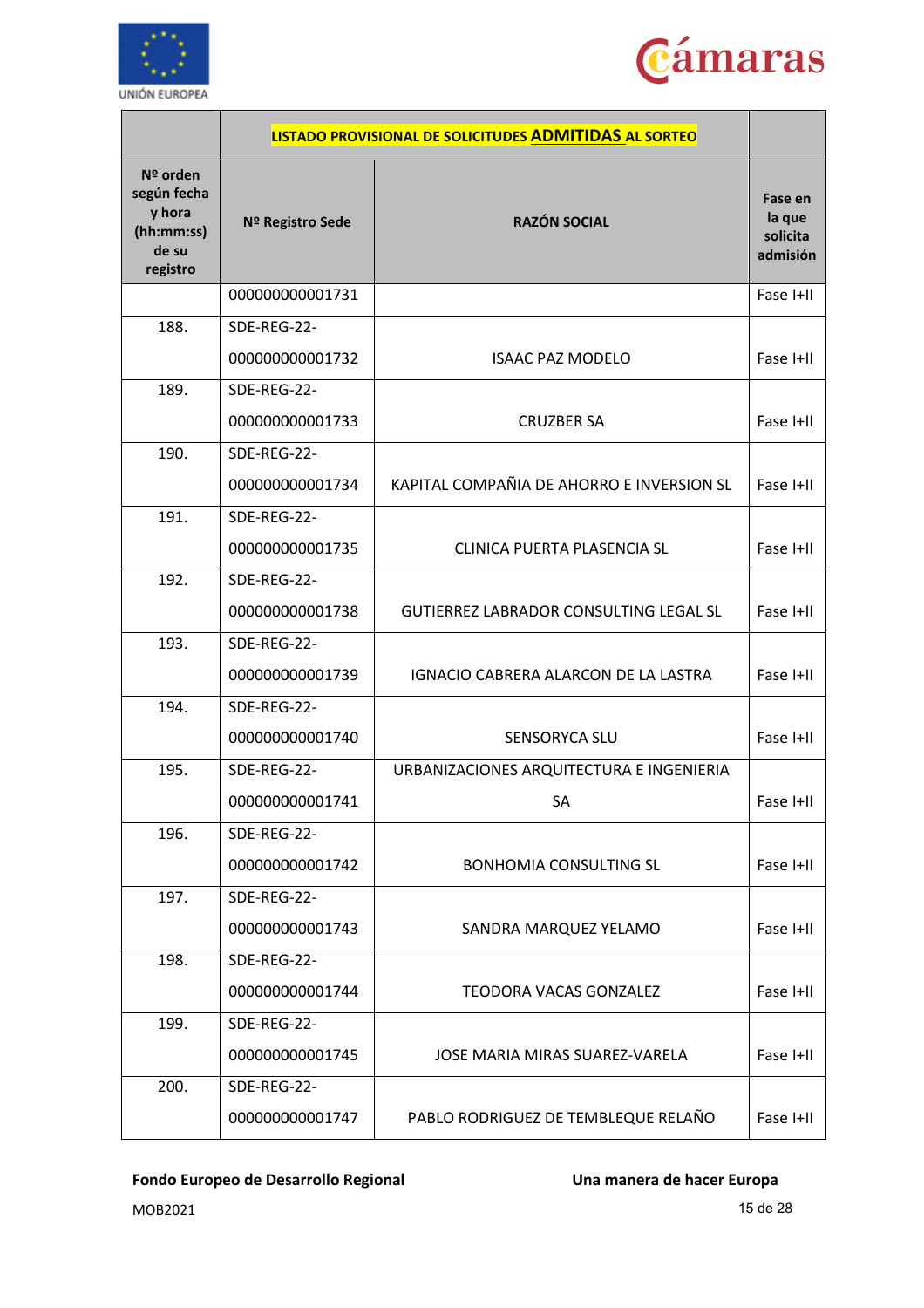



|                                                                      |                  | LISTADO PROVISIONAL DE SOLICITUDES ADMITIDAS AL SORTEO |                                           |
|----------------------------------------------------------------------|------------------|--------------------------------------------------------|-------------------------------------------|
| Nº orden<br>según fecha<br>y hora<br>(hh:mm:ss)<br>de su<br>registro | Nº Registro Sede | <b>RAZÓN SOCIAL</b>                                    | Fase en<br>la que<br>solicita<br>admisión |
|                                                                      | 000000000001731  |                                                        | Fase I+II                                 |
| 188.                                                                 | SDE-REG-22-      |                                                        |                                           |
|                                                                      | 000000000001732  | <b>ISAAC PAZ MODELO</b>                                | Fase I+II                                 |
| 189.                                                                 | SDE-REG-22-      |                                                        |                                           |
|                                                                      | 000000000001733  | <b>CRUZBER SA</b>                                      | Fase I+II                                 |
| 190.                                                                 | SDE-REG-22-      |                                                        |                                           |
|                                                                      | 000000000001734  | KAPITAL COMPAÑIA DE AHORRO E INVERSION SL              | Fase I+II                                 |
| 191.                                                                 | SDE-REG-22-      |                                                        |                                           |
|                                                                      | 000000000001735  | CLINICA PUERTA PLASENCIA SL                            | Fase I+II                                 |
| 192.                                                                 | SDE-REG-22-      |                                                        |                                           |
|                                                                      | 000000000001738  | <b>GUTIERREZ LABRADOR CONSULTING LEGAL SL</b>          | Fase I+II                                 |
| 193.                                                                 | SDE-REG-22-      |                                                        |                                           |
|                                                                      | 000000000001739  | IGNACIO CABRERA ALARCON DE LA LASTRA                   | Fase I+II                                 |
| 194.                                                                 | SDE-REG-22-      |                                                        |                                           |
|                                                                      | 000000000001740  | <b>SENSORYCA SLU</b>                                   | Fase I+II                                 |
| 195.                                                                 | SDE-REG-22-      | URBANIZACIONES ARQUITECTURA E INGENIERIA               |                                           |
|                                                                      | 000000000001741  | SA                                                     | Fase I+II                                 |
| 196.                                                                 | SDE-REG-22-      |                                                        |                                           |
|                                                                      | 000000000001742  | <b>BONHOMIA CONSULTING SL</b>                          | Fase I+II                                 |
| 197.                                                                 | SDE-REG-22-      |                                                        |                                           |
|                                                                      | 000000000001743  | SANDRA MARQUEZ YELAMO                                  | Fase I+II                                 |
| 198.                                                                 | SDE-REG-22-      |                                                        |                                           |
|                                                                      | 000000000001744  | <b>TEODORA VACAS GONZALEZ</b>                          | Fase I+II                                 |
| 199.                                                                 | SDE-REG-22-      |                                                        |                                           |
|                                                                      | 000000000001745  | JOSE MARIA MIRAS SUAREZ-VARELA                         | Fase I+II                                 |
| 200.                                                                 | SDE-REG-22-      |                                                        |                                           |
|                                                                      | 000000000001747  | PABLO RODRIGUEZ DE TEMBLEQUE RELAÑO                    | Fase I+II                                 |

MOB2021 15 de 28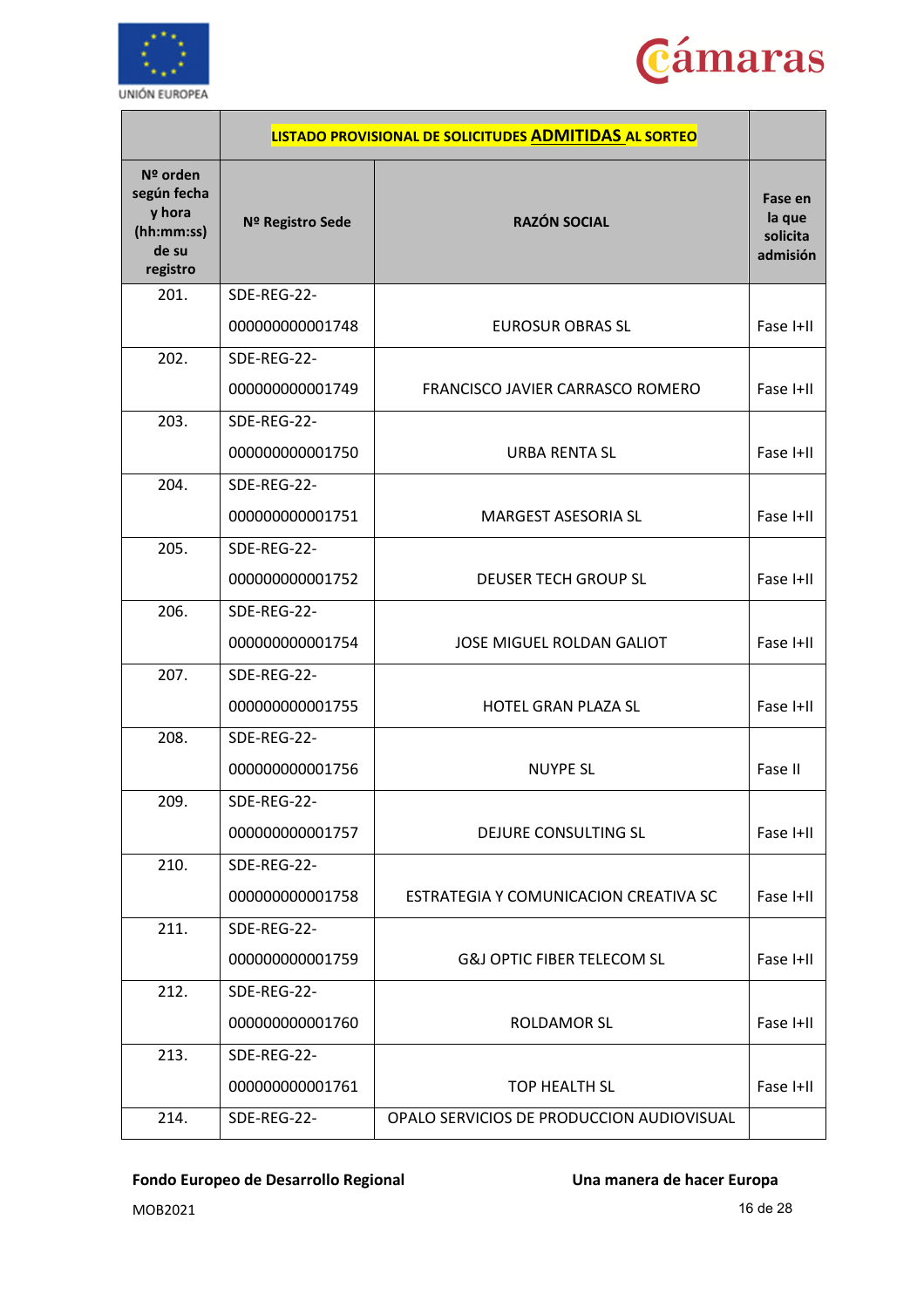



|                                                                      |                  | LISTADO PROVISIONAL DE SOLICITUDES ADMITIDAS AL SORTEO |                                           |
|----------------------------------------------------------------------|------------------|--------------------------------------------------------|-------------------------------------------|
| Nº orden<br>según fecha<br>y hora<br>(hh:mm:ss)<br>de su<br>registro | Nº Registro Sede | <b>RAZÓN SOCIAL</b>                                    | Fase en<br>la que<br>solicita<br>admisión |
| 201.                                                                 | SDE-REG-22-      |                                                        |                                           |
|                                                                      | 000000000001748  | <b>EUROSUR OBRAS SL</b>                                | Fase I+II                                 |
| 202.                                                                 | SDE-REG-22-      |                                                        |                                           |
|                                                                      | 000000000001749  | FRANCISCO JAVIER CARRASCO ROMERO                       | Fase I+II                                 |
| 203.                                                                 | SDE-REG-22-      |                                                        |                                           |
|                                                                      | 000000000001750  | <b>URBA RENTA SL</b>                                   | Fase I+II                                 |
| 204.                                                                 | SDE-REG-22-      |                                                        |                                           |
|                                                                      | 000000000001751  | <b>MARGEST ASESORIA SL</b>                             | Fase I+II                                 |
| 205.                                                                 | SDE-REG-22-      |                                                        |                                           |
|                                                                      | 000000000001752  | <b>DEUSER TECH GROUP SL</b>                            | Fase I+II                                 |
| 206.                                                                 | SDE-REG-22-      |                                                        |                                           |
|                                                                      | 000000000001754  | <b>JOSE MIGUEL ROLDAN GALIOT</b>                       | Fase I+II                                 |
| 207.                                                                 | SDE-REG-22-      |                                                        |                                           |
|                                                                      | 000000000001755  | HOTEL GRAN PLAZA SL                                    | Fase I+II                                 |
| 208.                                                                 | SDE-REG-22-      |                                                        |                                           |
|                                                                      | 000000000001756  | <b>NUYPE SL</b>                                        | Fase II                                   |
| 209.                                                                 | SDE-REG-22-      |                                                        |                                           |
|                                                                      | 000000000001757  | DEJURE CONSULTING SL                                   | Fase I+II                                 |
| 210.                                                                 | SDE-REG-22-      |                                                        |                                           |
|                                                                      | 000000000001758  | ESTRATEGIA Y COMUNICACION CREATIVA SC                  | Fase I+II                                 |
| 211.                                                                 | SDE-REG-22-      |                                                        |                                           |
|                                                                      | 000000000001759  | <b>G&amp;J OPTIC FIBER TELECOM SL</b>                  | Fase I+II                                 |
| 212.                                                                 | SDE-REG-22-      |                                                        |                                           |
|                                                                      | 000000000001760  | <b>ROLDAMOR SL</b>                                     | Fase I+II                                 |
| 213.                                                                 | SDE-REG-22-      |                                                        |                                           |
|                                                                      | 000000000001761  | <b>TOP HEALTH SL</b>                                   | Fase I+II                                 |
| 214.                                                                 | SDE-REG-22-      | OPALO SERVICIOS DE PRODUCCION AUDIOVISUAL              |                                           |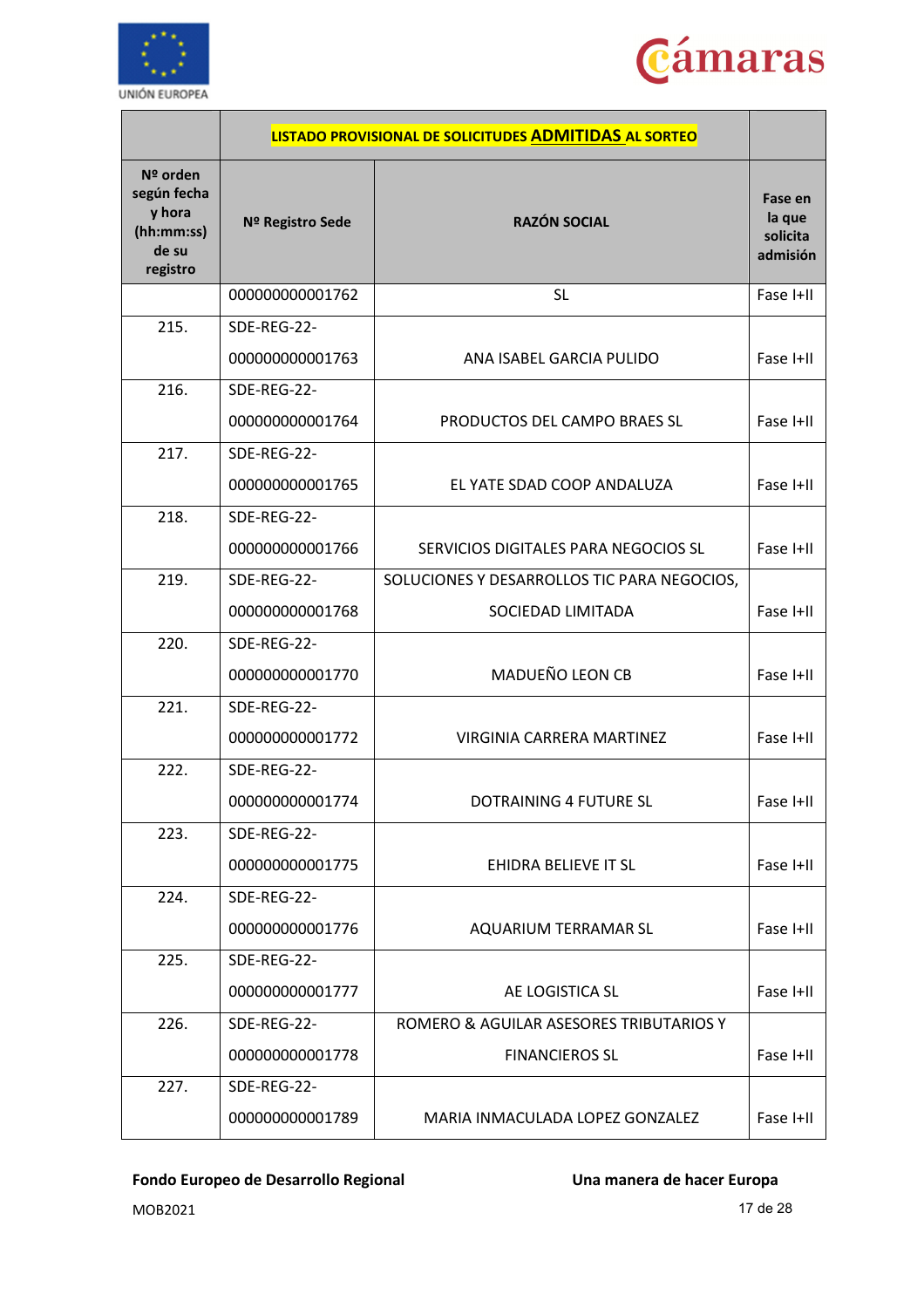



|                                                                      |                  | LISTADO PROVISIONAL DE SOLICITUDES ADMITIDAS AL SORTEO |                                           |
|----------------------------------------------------------------------|------------------|--------------------------------------------------------|-------------------------------------------|
| Nº orden<br>según fecha<br>y hora<br>(hh:mm:ss)<br>de su<br>registro | Nº Registro Sede | <b>RAZÓN SOCIAL</b>                                    | Fase en<br>la que<br>solicita<br>admisión |
|                                                                      | 000000000001762  | <b>SL</b>                                              | Fase I+II                                 |
| 215.                                                                 | SDE-REG-22-      |                                                        |                                           |
|                                                                      | 000000000001763  | ANA ISABEL GARCIA PULIDO                               | Fase I+II                                 |
| 216.                                                                 | SDE-REG-22-      |                                                        |                                           |
|                                                                      | 000000000001764  | PRODUCTOS DEL CAMPO BRAES SL                           | Fase I+II                                 |
| 217.                                                                 | SDE-REG-22-      |                                                        |                                           |
|                                                                      | 000000000001765  | EL YATE SDAD COOP ANDALUZA                             | Fase I+II                                 |
| 218.                                                                 | SDE-REG-22-      |                                                        |                                           |
|                                                                      | 000000000001766  | SERVICIOS DIGITALES PARA NEGOCIOS SL                   | Fase I+II                                 |
| 219.                                                                 | SDE-REG-22-      | SOLUCIONES Y DESARROLLOS TIC PARA NEGOCIOS,            |                                           |
|                                                                      | 000000000001768  | SOCIEDAD LIMITADA                                      | Fase I+II                                 |
| 220.                                                                 | SDE-REG-22-      |                                                        |                                           |
|                                                                      | 000000000001770  | MADUEÑO LEON CB                                        | Fase I+II                                 |
| 221.                                                                 | SDE-REG-22-      |                                                        |                                           |
|                                                                      | 000000000001772  | <b>VIRGINIA CARRERA MARTINEZ</b>                       | Fase I+II                                 |
| 222.                                                                 | SDE-REG-22-      |                                                        |                                           |
|                                                                      | 000000000001774  | DOTRAINING 4 FUTURE SL                                 | Fase I+II                                 |
| 223.                                                                 | SDE-REG-22-      |                                                        |                                           |
|                                                                      | 000000000001775  | EHIDRA BELIEVE IT SL                                   | Fase I+II                                 |
| 224.                                                                 | SDE-REG-22-      |                                                        |                                           |
|                                                                      | 000000000001776  | AQUARIUM TERRAMAR SL                                   | Fase I+II                                 |
| 225.                                                                 | SDE-REG-22-      |                                                        |                                           |
|                                                                      | 000000000001777  | AE LOGISTICA SL                                        | Fase I+II                                 |
| 226.                                                                 | SDE-REG-22-      | ROMERO & AGUILAR ASESORES TRIBUTARIOS Y                |                                           |
|                                                                      | 000000000001778  | <b>FINANCIEROS SL</b>                                  | Fase I+II                                 |
| 227.                                                                 | SDE-REG-22-      |                                                        |                                           |
|                                                                      | 000000000001789  | MARIA INMACULADA LOPEZ GONZALEZ                        | Fase I+II                                 |

MOB2021 17 de 28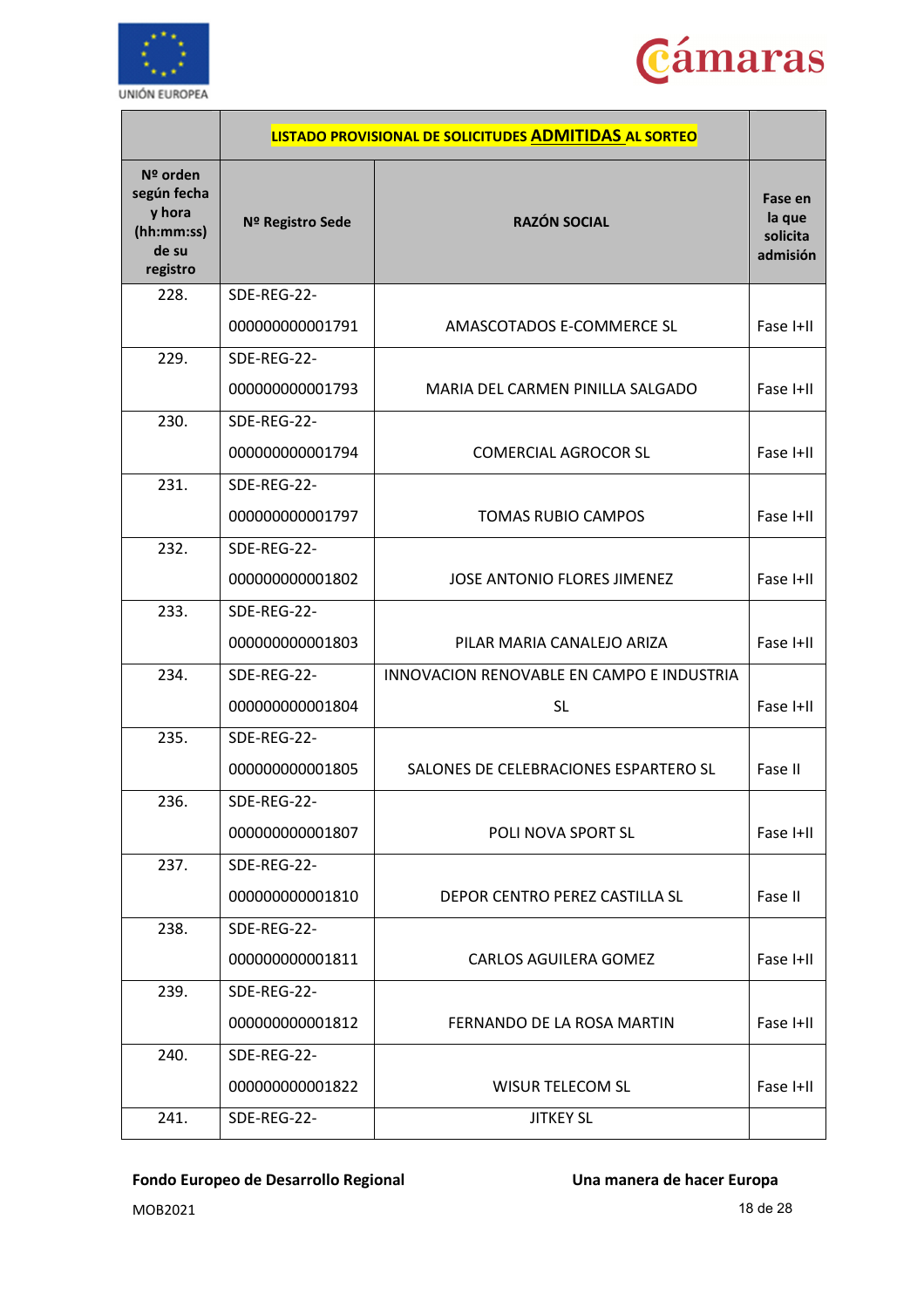



|                                                                      |                  | LISTADO PROVISIONAL DE SOLICITUDES ADMITIDAS AL SORTEO |                                           |
|----------------------------------------------------------------------|------------------|--------------------------------------------------------|-------------------------------------------|
| Nº orden<br>según fecha<br>y hora<br>(hh:mm:ss)<br>de su<br>registro | Nº Registro Sede | <b>RAZÓN SOCIAL</b>                                    | Fase en<br>la que<br>solicita<br>admisión |
| 228.                                                                 | SDE-REG-22-      |                                                        |                                           |
|                                                                      | 000000000001791  | AMASCOTADOS E-COMMERCE SL                              | Fase I+II                                 |
| 229.                                                                 | SDE-REG-22-      |                                                        |                                           |
|                                                                      | 000000000001793  | MARIA DEL CARMEN PINILLA SALGADO                       | Fase I+II                                 |
| 230.                                                                 | SDE-REG-22-      |                                                        |                                           |
|                                                                      | 000000000001794  | <b>COMERCIAL AGROCOR SL</b>                            | Fase I+II                                 |
| 231.                                                                 | SDE-REG-22-      |                                                        |                                           |
|                                                                      | 000000000001797  | <b>TOMAS RUBIO CAMPOS</b>                              | Fase I+II                                 |
| 232.                                                                 | SDE-REG-22-      |                                                        |                                           |
|                                                                      | 000000000001802  | JOSE ANTONIO FLORES JIMENEZ                            | Fase I+II                                 |
| 233.                                                                 | SDE-REG-22-      |                                                        |                                           |
|                                                                      | 000000000001803  | PILAR MARIA CANALEJO ARIZA                             | Fase I+II                                 |
| 234.                                                                 | SDE-REG-22-      | INNOVACION RENOVABLE EN CAMPO E INDUSTRIA              |                                           |
|                                                                      | 000000000001804  | <b>SL</b>                                              | Fase I+II                                 |
| 235.                                                                 | SDE-REG-22-      |                                                        |                                           |
|                                                                      | 000000000001805  | SALONES DE CELEBRACIONES ESPARTERO SL                  | Fase II                                   |
| 236.                                                                 | SDE-REG-22-      |                                                        |                                           |
|                                                                      | 000000000001807  | <b>POLI NOVA SPORT SL</b>                              | Fase I+II                                 |
| 237.                                                                 | SDE-REG-22-      |                                                        |                                           |
|                                                                      | 000000000001810  | DEPOR CENTRO PEREZ CASTILLA SL                         | Fase II                                   |
| 238.                                                                 | SDE-REG-22-      |                                                        |                                           |
|                                                                      | 000000000001811  | <b>CARLOS AGUILERA GOMEZ</b>                           | Fase I+II                                 |
| 239.                                                                 | SDE-REG-22-      |                                                        |                                           |
|                                                                      | 000000000001812  | FERNANDO DE LA ROSA MARTIN                             | Fase I+II                                 |
| 240.                                                                 | SDE-REG-22-      |                                                        |                                           |
|                                                                      | 000000000001822  | <b>WISUR TELECOM SL</b>                                | Fase I+II                                 |
| 241.                                                                 | SDE-REG-22-      | <b>JITKEY SL</b>                                       |                                           |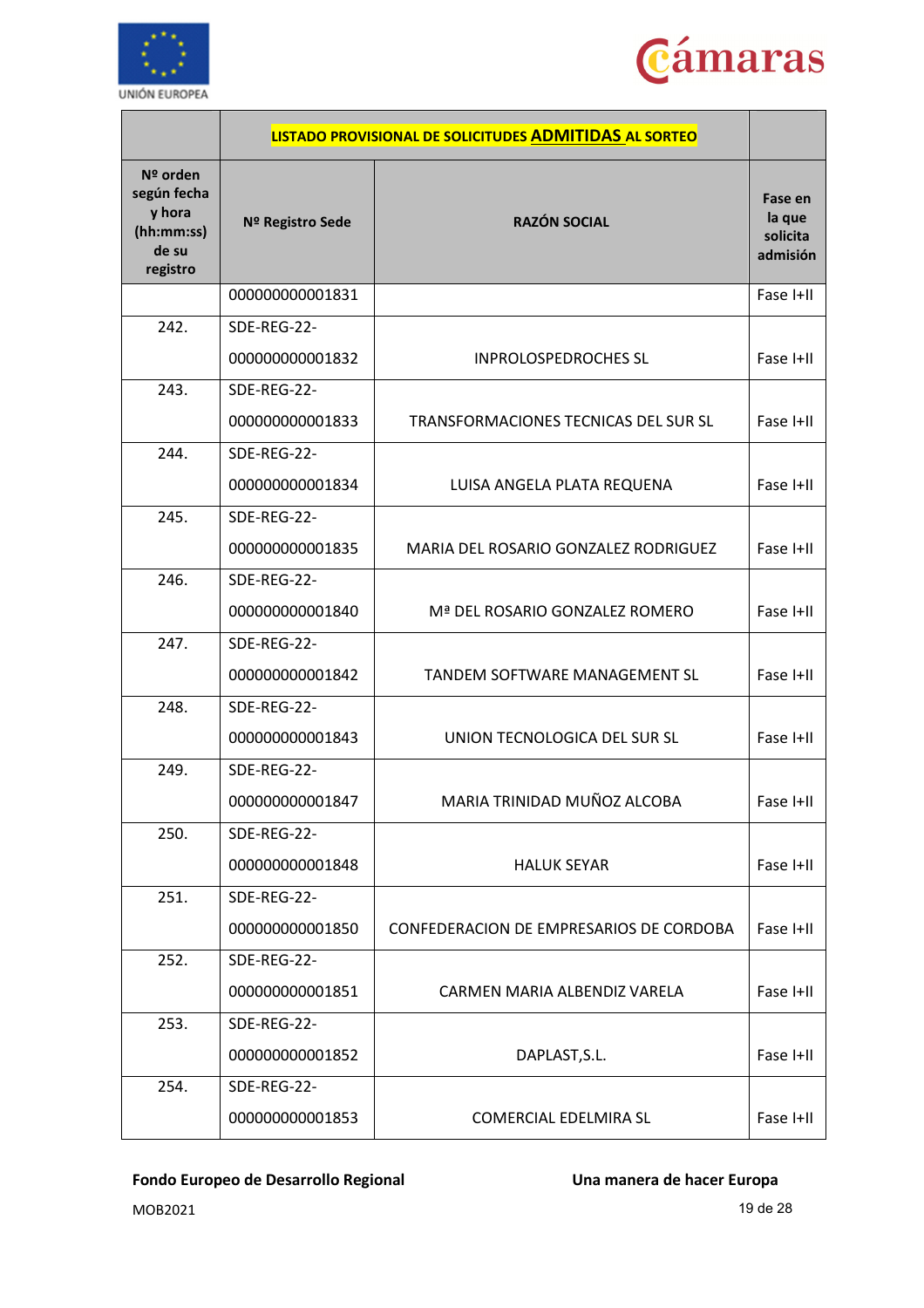



|                                                                      |                  | LISTADO PROVISIONAL DE SOLICITUDES ADMITIDAS AL SORTEO |                                           |
|----------------------------------------------------------------------|------------------|--------------------------------------------------------|-------------------------------------------|
| Nº orden<br>según fecha<br>y hora<br>(hh:mm:ss)<br>de su<br>registro | Nº Registro Sede | <b>RAZÓN SOCIAL</b>                                    | Fase en<br>la que<br>solicita<br>admisión |
|                                                                      | 000000000001831  |                                                        | Fase I+II                                 |
| 242.                                                                 | SDE-REG-22-      |                                                        |                                           |
|                                                                      | 000000000001832  | <b>INPROLOSPEDROCHES SL</b>                            | Fase I+II                                 |
| 243.                                                                 | SDE-REG-22-      |                                                        |                                           |
|                                                                      | 000000000001833  | TRANSFORMACIONES TECNICAS DEL SUR SL                   | Fase I+II                                 |
| 244.                                                                 | SDE-REG-22-      |                                                        |                                           |
|                                                                      | 000000000001834  | LUISA ANGELA PLATA REQUENA                             | Fase I+II                                 |
| 245.                                                                 | SDE-REG-22-      |                                                        |                                           |
|                                                                      | 000000000001835  | MARIA DEL ROSARIO GONZALEZ RODRIGUEZ                   | Fase I+II                                 |
| 246.                                                                 | SDE-REG-22-      |                                                        |                                           |
|                                                                      | 000000000001840  | Mª DEL ROSARIO GONZALEZ ROMERO                         | Fase I+II                                 |
| 247.                                                                 | SDE-REG-22-      |                                                        |                                           |
|                                                                      | 000000000001842  | <b>TANDEM SOFTWARE MANAGEMENT SL</b>                   | Fase I+II                                 |
| 248.                                                                 | SDE-REG-22-      |                                                        |                                           |
|                                                                      | 000000000001843  | UNION TECNOLOGICA DEL SUR SL                           | Fase I+II                                 |
| 249.                                                                 | SDE-REG-22-      |                                                        |                                           |
|                                                                      | 000000000001847  | MARIA TRINIDAD MUÑOZ ALCOBA                            | Fase I+II                                 |
| 250.                                                                 | SDE-REG-22-      |                                                        |                                           |
|                                                                      | 000000000001848  | <b>HALUK SEYAR</b>                                     | Fase I+II                                 |
| 251.                                                                 | SDE-REG-22-      |                                                        |                                           |
|                                                                      | 000000000001850  | CONFEDERACION DE EMPRESARIOS DE CORDOBA                | Fase I+II                                 |
| 252.                                                                 | SDE-REG-22-      |                                                        |                                           |
|                                                                      | 000000000001851  | CARMEN MARIA ALBENDIZ VARELA                           | Fase I+II                                 |
| 253.                                                                 | SDE-REG-22-      |                                                        |                                           |
|                                                                      | 000000000001852  | DAPLAST, S.L.                                          | Fase I+II                                 |
| 254.                                                                 | SDE-REG-22-      |                                                        |                                           |
|                                                                      | 000000000001853  | COMERCIAL EDELMIRA SL                                  | Fase I+II                                 |

MOB2021 19 de 28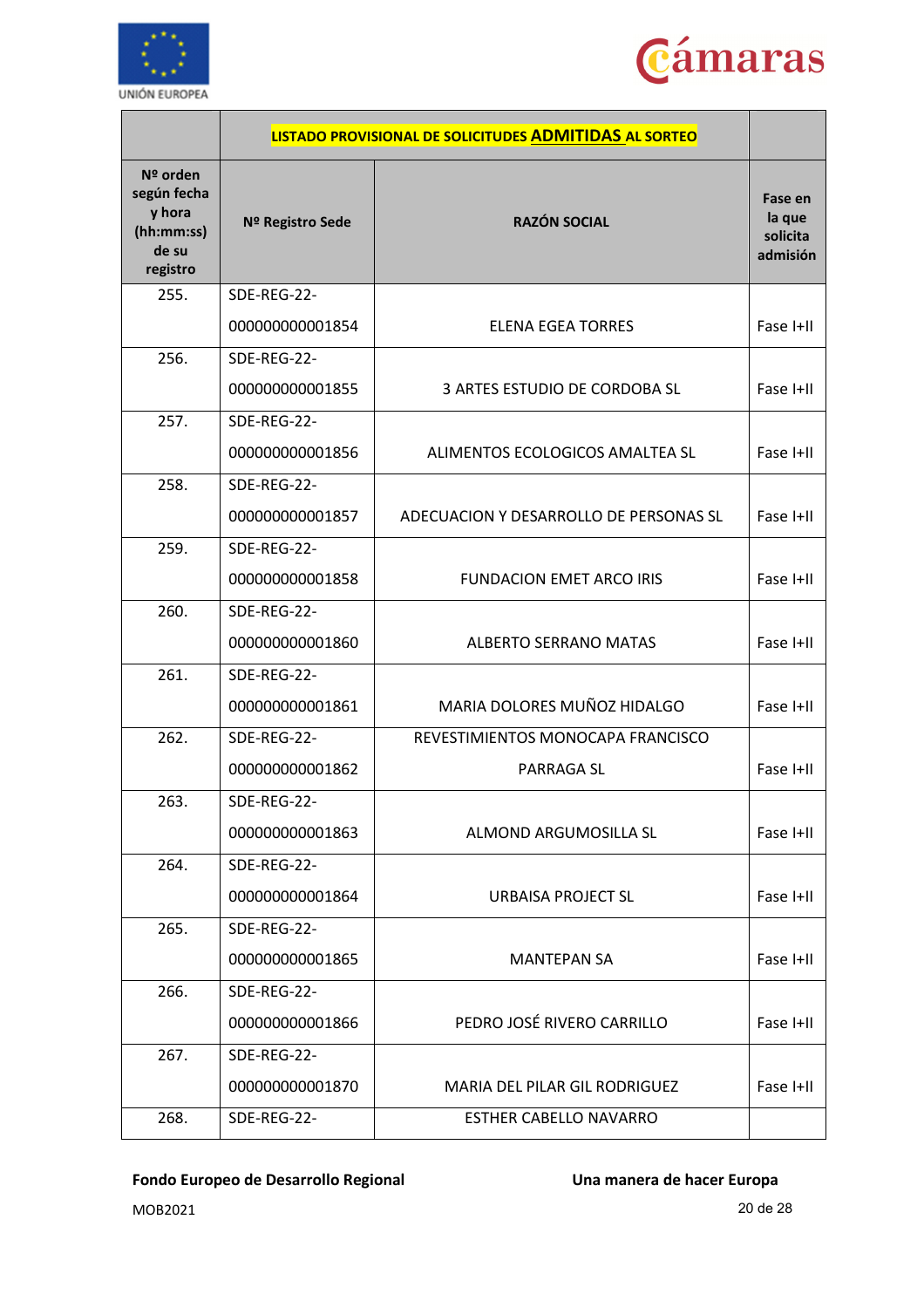



|                                                                      |                  | LISTADO PROVISIONAL DE SOLICITUDES ADMITIDAS AL SORTEO |                                           |
|----------------------------------------------------------------------|------------------|--------------------------------------------------------|-------------------------------------------|
| Nº orden<br>según fecha<br>y hora<br>(hh:mm:ss)<br>de su<br>registro | Nº Registro Sede | <b>RAZÓN SOCIAL</b>                                    | Fase en<br>la que<br>solicita<br>admisión |
| 255.                                                                 | SDE-REG-22-      |                                                        |                                           |
|                                                                      | 000000000001854  | <b>ELENA EGEA TORRES</b>                               | Fase I+II                                 |
| 256.                                                                 | SDE-REG-22-      |                                                        |                                           |
|                                                                      | 000000000001855  | 3 ARTES ESTUDIO DE CORDOBA SL                          | Fase I+II                                 |
| 257.                                                                 | SDE-REG-22-      |                                                        |                                           |
|                                                                      | 000000000001856  | ALIMENTOS ECOLOGICOS AMALTEA SL                        | Fase I+II                                 |
| 258.                                                                 | SDE-REG-22-      |                                                        |                                           |
|                                                                      | 000000000001857  | ADECUACION Y DESARROLLO DE PERSONAS SL                 | Fase I+II                                 |
| 259.                                                                 | SDE-REG-22-      |                                                        |                                           |
|                                                                      | 000000000001858  | <b>FUNDACION EMET ARCO IRIS</b>                        | Fase I+II                                 |
| 260.                                                                 | SDE-REG-22-      |                                                        |                                           |
|                                                                      | 000000000001860  | <b>ALBERTO SERRANO MATAS</b>                           | Fase I+II                                 |
| 261.                                                                 | SDE-REG-22-      |                                                        |                                           |
|                                                                      | 000000000001861  | MARIA DOLORES MUÑOZ HIDALGO                            | Fase I+II                                 |
| 262.                                                                 | SDE-REG-22-      | REVESTIMIENTOS MONOCAPA FRANCISCO                      |                                           |
|                                                                      | 000000000001862  | <b>PARRAGA SL</b>                                      | Fase I+II                                 |
| 263.                                                                 | SDE-REG-22-      |                                                        |                                           |
|                                                                      | 000000000001863  | ALMOND ARGUMOSILLA SL                                  | Fase I+II                                 |
| 264.                                                                 | SDE-REG-22-      |                                                        |                                           |
|                                                                      | 000000000001864  | URBAISA PROJECT SL                                     | Fase I+II                                 |
| 265.                                                                 | SDE-REG-22-      |                                                        |                                           |
|                                                                      | 000000000001865  | <b>MANTEPAN SA</b>                                     | Fase I+II                                 |
| 266.                                                                 | SDE-REG-22-      |                                                        |                                           |
|                                                                      | 000000000001866  | PEDRO JOSÉ RIVERO CARRILLO                             | Fase I+II                                 |
| 267.                                                                 | SDE-REG-22-      |                                                        |                                           |
|                                                                      | 000000000001870  | MARIA DEL PILAR GIL RODRIGUEZ                          | Fase I+II                                 |
| 268.                                                                 | SDE-REG-22-      | <b>ESTHER CABELLO NAVARRO</b>                          |                                           |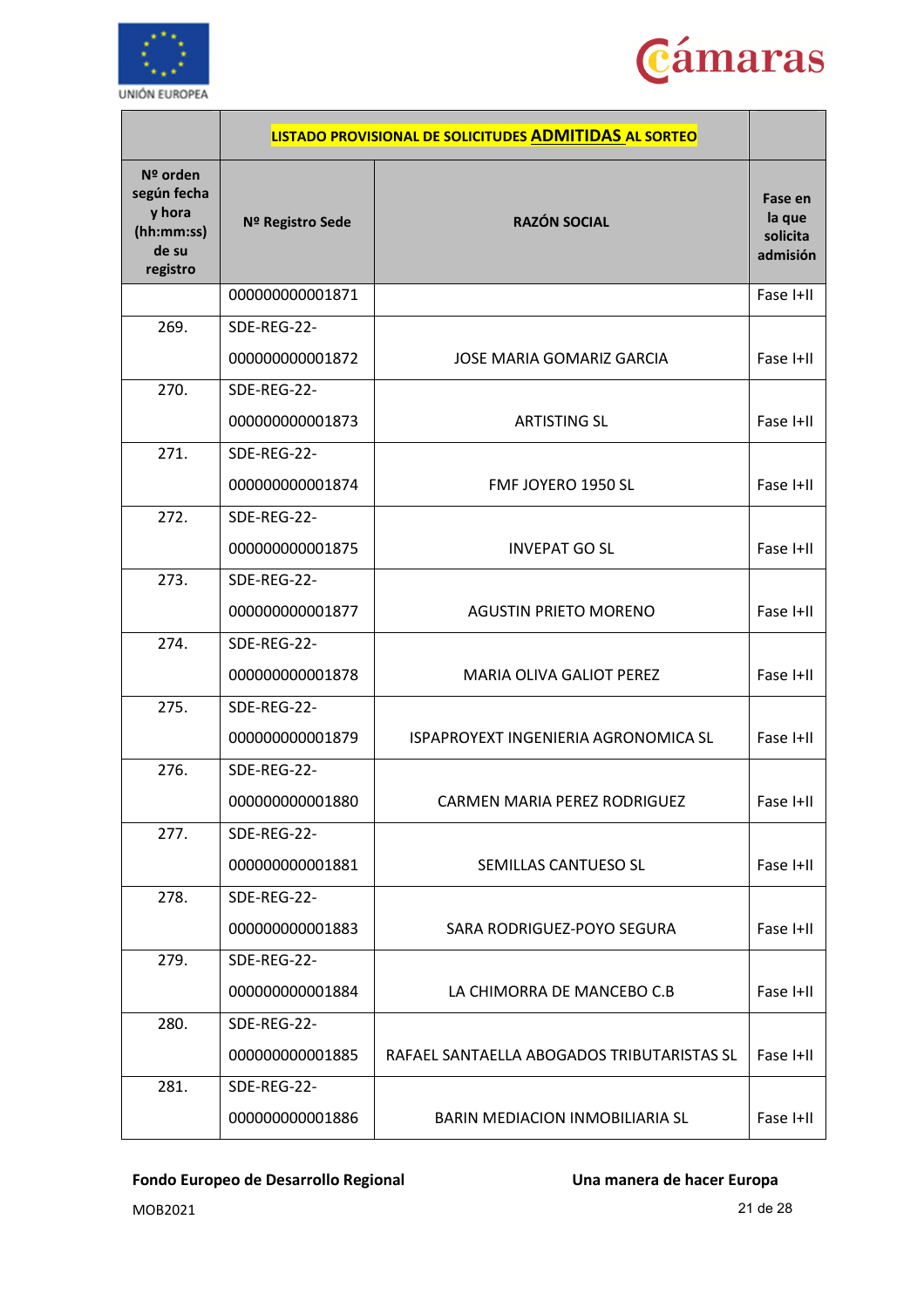



|                                                                        |                  | LISTADO PROVISIONAL DE SOLICITUDES ADMITIDAS AL SORTEO |                                           |
|------------------------------------------------------------------------|------------------|--------------------------------------------------------|-------------------------------------------|
| $No$ orden<br>según fecha<br>y hora<br>(hh:mm:ss)<br>de su<br>registro | Nº Registro Sede | <b>RAZÓN SOCIAL</b>                                    | Fase en<br>la que<br>solicita<br>admisión |
|                                                                        | 000000000001871  |                                                        | Fase I+II                                 |
| 269.                                                                   | SDE-REG-22-      |                                                        |                                           |
|                                                                        | 000000000001872  | <b>JOSE MARIA GOMARIZ GARCIA</b>                       | Fase I+II                                 |
| 270.                                                                   | SDE-REG-22-      |                                                        |                                           |
|                                                                        | 000000000001873  | <b>ARTISTING SL</b>                                    | Fase I+II                                 |
| 271.                                                                   | SDE-REG-22-      |                                                        |                                           |
|                                                                        | 000000000001874  | FMF JOYERO 1950 SL                                     | Fase I+II                                 |
| 272.                                                                   | SDE-REG-22-      |                                                        |                                           |
|                                                                        | 000000000001875  | <b>INVEPAT GO SL</b>                                   | Fase I+II                                 |
| 273.                                                                   | SDE-REG-22-      |                                                        |                                           |
|                                                                        | 000000000001877  | <b>AGUSTIN PRIETO MORENO</b>                           | Fase I+II                                 |
| 274.                                                                   | SDE-REG-22-      |                                                        |                                           |
|                                                                        | 000000000001878  | MARIA OLIVA GALIOT PEREZ                               | Fase I+II                                 |
| 275.                                                                   | SDE-REG-22-      |                                                        |                                           |
|                                                                        | 000000000001879  | ISPAPROYEXT INGENIERIA AGRONOMICA SL                   | Fase I+II                                 |
| 276.                                                                   | SDE-REG-22-      |                                                        |                                           |
|                                                                        | 000000000001880  | CARMEN MARIA PEREZ RODRIGUEZ                           | Fase I+II                                 |
| 277.                                                                   | SDE-REG-22-      |                                                        |                                           |
|                                                                        | 000000000001881  | SEMILLAS CANTUESO SL                                   | Fase I+II                                 |
| 278.                                                                   | SDE-REG-22-      |                                                        |                                           |
|                                                                        | 000000000001883  | SARA RODRIGUEZ-POYO SEGURA                             | Fase I+II                                 |
| 279.                                                                   | SDE-REG-22-      |                                                        |                                           |
|                                                                        | 000000000001884  | LA CHIMORRA DE MANCEBO C.B                             | Fase I+II                                 |
| 280.                                                                   | SDE-REG-22-      |                                                        |                                           |
|                                                                        | 000000000001885  | RAFAEL SANTAELLA ABOGADOS TRIBUTARISTAS SL             | Fase I+II                                 |
| 281.                                                                   | SDE-REG-22-      |                                                        |                                           |
|                                                                        | 000000000001886  | BARIN MEDIACION INMOBILIARIA SL                        | Fase I+II                                 |

MOB2021 21 de 28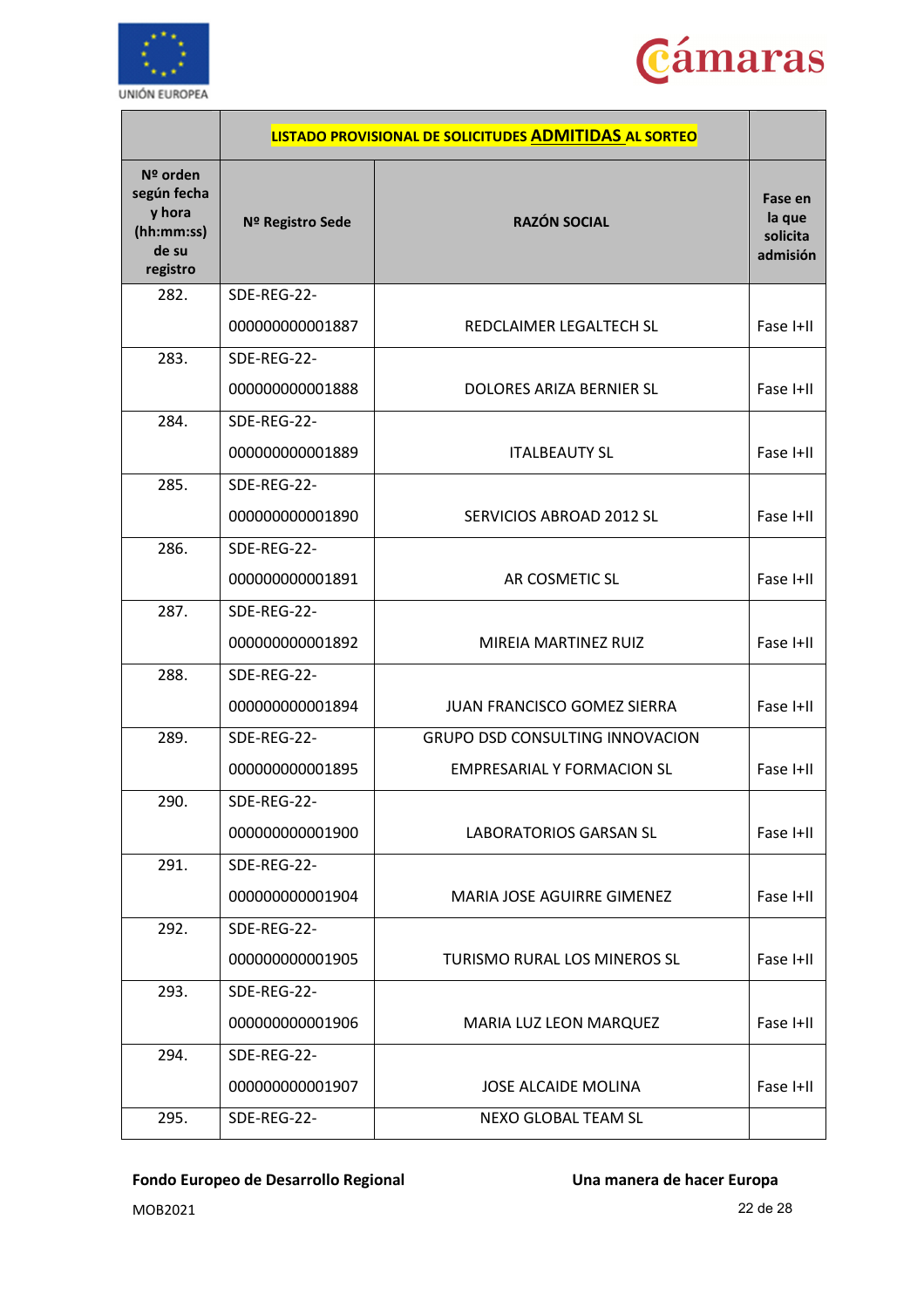



|                                                                        |                  | LISTADO PROVISIONAL DE SOLICITUDES ADMITIDAS AL SORTEO |                                           |
|------------------------------------------------------------------------|------------------|--------------------------------------------------------|-------------------------------------------|
| $N2$ orden<br>según fecha<br>y hora<br>(hh:mm:ss)<br>de su<br>registro | Nº Registro Sede | <b>RAZÓN SOCIAL</b>                                    | Fase en<br>la que<br>solicita<br>admisión |
| 282.                                                                   | SDE-REG-22-      |                                                        |                                           |
|                                                                        | 000000000001887  | REDCLAIMER LEGALTECH SL                                | Fase I+II                                 |
| 283.                                                                   | SDE-REG-22-      |                                                        |                                           |
|                                                                        | 000000000001888  | DOLORES ARIZA BERNIER SL                               | Fase I+II                                 |
| 284.                                                                   | SDE-REG-22-      |                                                        |                                           |
|                                                                        | 000000000001889  | <b>ITALBEAUTY SL</b>                                   | Fase I+II                                 |
| 285.                                                                   | SDE-REG-22-      |                                                        |                                           |
|                                                                        | 000000000001890  | SERVICIOS ABROAD 2012 SL                               | Fase I+II                                 |
| 286.                                                                   | SDE-REG-22-      |                                                        |                                           |
|                                                                        | 000000000001891  | AR COSMETIC SL                                         | Fase I+II                                 |
| 287.                                                                   | SDE-REG-22-      |                                                        |                                           |
|                                                                        | 000000000001892  | MIREIA MARTINEZ RUIZ                                   | Fase I+II                                 |
| 288.                                                                   | SDE-REG-22-      |                                                        |                                           |
|                                                                        | 000000000001894  | JUAN FRANCISCO GOMEZ SIERRA                            | Fase I+II                                 |
| 289.                                                                   | SDE-REG-22-      | <b>GRUPO DSD CONSULTING INNOVACION</b>                 |                                           |
|                                                                        | 000000000001895  | <b>EMPRESARIAL Y FORMACION SL</b>                      | Fase I+II                                 |
| 290.                                                                   | SDE-REG-22-      |                                                        |                                           |
|                                                                        | 000000000001900  | <b>LABORATORIOS GARSAN SL</b>                          | Fase I+II                                 |
| 291.                                                                   | SDE-REG-22-      |                                                        |                                           |
|                                                                        | 000000000001904  | <b>MARIA JOSE AGUIRRE GIMENEZ</b>                      | Fase I+II                                 |
| 292.                                                                   | SDE-REG-22-      |                                                        |                                           |
|                                                                        | 000000000001905  | TURISMO RURAL LOS MINEROS SL                           | Fase I+II                                 |
| 293.                                                                   | SDE-REG-22-      |                                                        |                                           |
|                                                                        | 000000000001906  | MARIA LUZ LEON MARQUEZ                                 | Fase I+II                                 |
| 294.                                                                   | SDE-REG-22-      |                                                        |                                           |
|                                                                        | 000000000001907  | <b>JOSE ALCAIDE MOLINA</b>                             | Fase I+II                                 |
| 295.                                                                   | SDE-REG-22-      | NEXO GLOBAL TEAM SL                                    |                                           |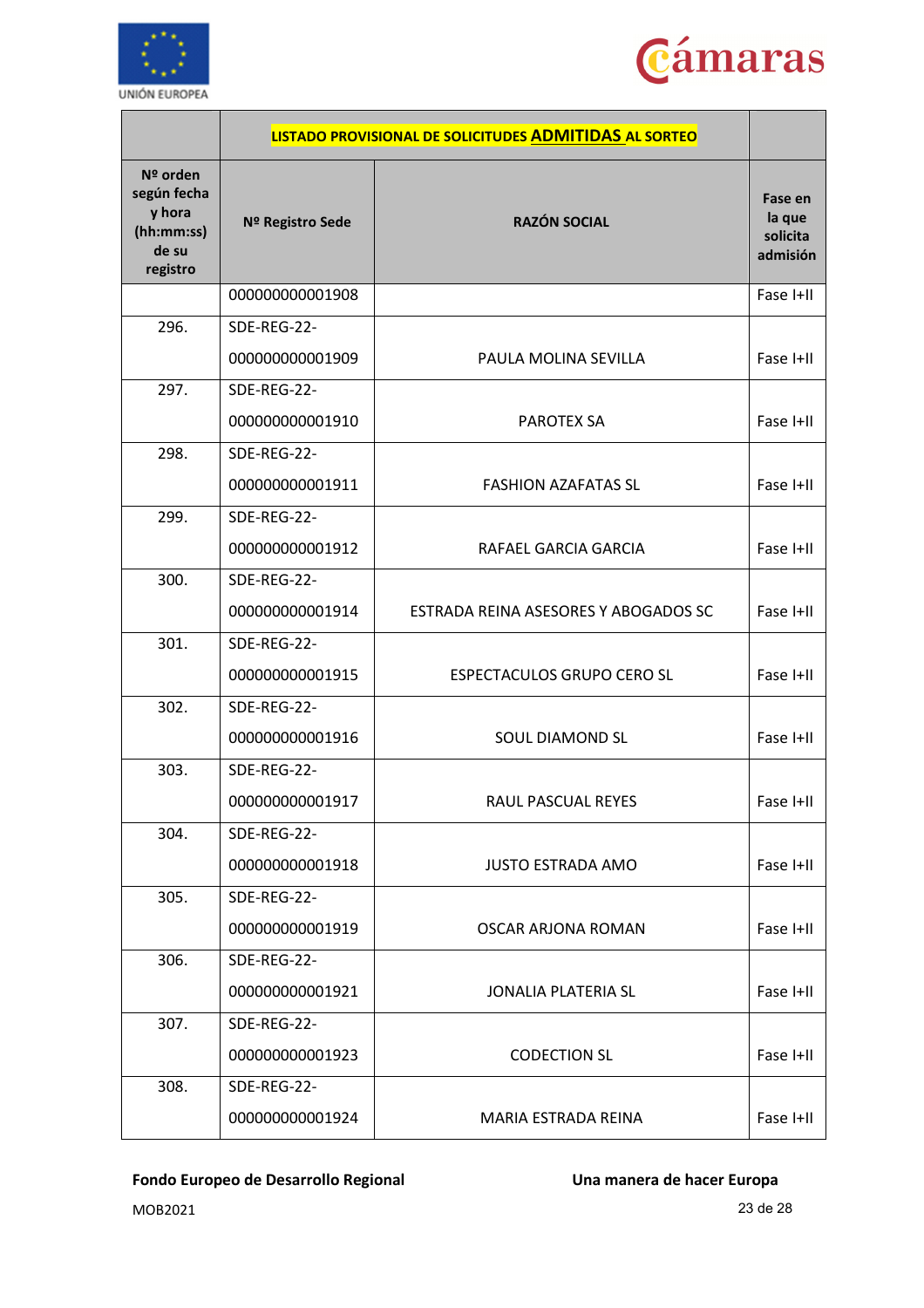



|                                                                      |                  | LISTADO PROVISIONAL DE SOLICITUDES ADMITIDAS AL SORTEO |                                           |
|----------------------------------------------------------------------|------------------|--------------------------------------------------------|-------------------------------------------|
| Nº orden<br>según fecha<br>y hora<br>(hh:mm:ss)<br>de su<br>registro | Nº Registro Sede | <b>RAZÓN SOCIAL</b>                                    | Fase en<br>la que<br>solicita<br>admisión |
|                                                                      | 000000000001908  |                                                        | Fase I+II                                 |
| 296.                                                                 | SDE-REG-22-      |                                                        |                                           |
|                                                                      | 000000000001909  | PAULA MOLINA SEVILLA                                   | Fase I+II                                 |
| 297.                                                                 | SDE-REG-22-      |                                                        |                                           |
|                                                                      | 000000000001910  | <b>PAROTEX SA</b>                                      | Fase I+II                                 |
| 298.                                                                 | SDE-REG-22-      |                                                        |                                           |
|                                                                      | 000000000001911  | <b>FASHION AZAFATAS SL</b>                             | Fase I+II                                 |
| 299.                                                                 | SDE-REG-22-      |                                                        |                                           |
|                                                                      | 000000000001912  | RAFAEL GARCIA GARCIA                                   | Fase I+II                                 |
| 300.                                                                 | SDE-REG-22-      |                                                        |                                           |
|                                                                      | 000000000001914  | ESTRADA REINA ASESORES Y ABOGADOS SC                   | Fase I+II                                 |
| 301.                                                                 | SDE-REG-22-      |                                                        |                                           |
|                                                                      | 000000000001915  | ESPECTACULOS GRUPO CERO SL                             | Fase I+II                                 |
| 302.                                                                 | SDE-REG-22-      |                                                        |                                           |
|                                                                      | 000000000001916  | <b>SOUL DIAMOND SL</b>                                 | Fase I+II                                 |
| 303.                                                                 | SDE-REG-22-      |                                                        |                                           |
|                                                                      | 000000000001917  | RAUL PASCUAL REYES                                     | Fase I+II                                 |
| 304.                                                                 | SDE-REG-22-      |                                                        |                                           |
|                                                                      | 000000000001918  | <b>JUSTO ESTRADA AMO</b>                               | Fase I+II                                 |
| 305.                                                                 | SDE-REG-22-      |                                                        |                                           |
|                                                                      | 000000000001919  | OSCAR ARJONA ROMAN                                     | Fase I+II                                 |
| 306.                                                                 | SDE-REG-22-      |                                                        |                                           |
|                                                                      | 000000000001921  | <b>JONALIA PLATERIA SL</b>                             | Fase I+II                                 |
| 307.                                                                 | SDE-REG-22-      |                                                        |                                           |
|                                                                      | 000000000001923  | <b>CODECTION SL</b>                                    | Fase I+II                                 |
| 308.                                                                 | SDE-REG-22-      |                                                        |                                           |
|                                                                      | 000000000001924  | MARIA ESTRADA REINA                                    | Fase I+II                                 |

MOB2021 23 de 28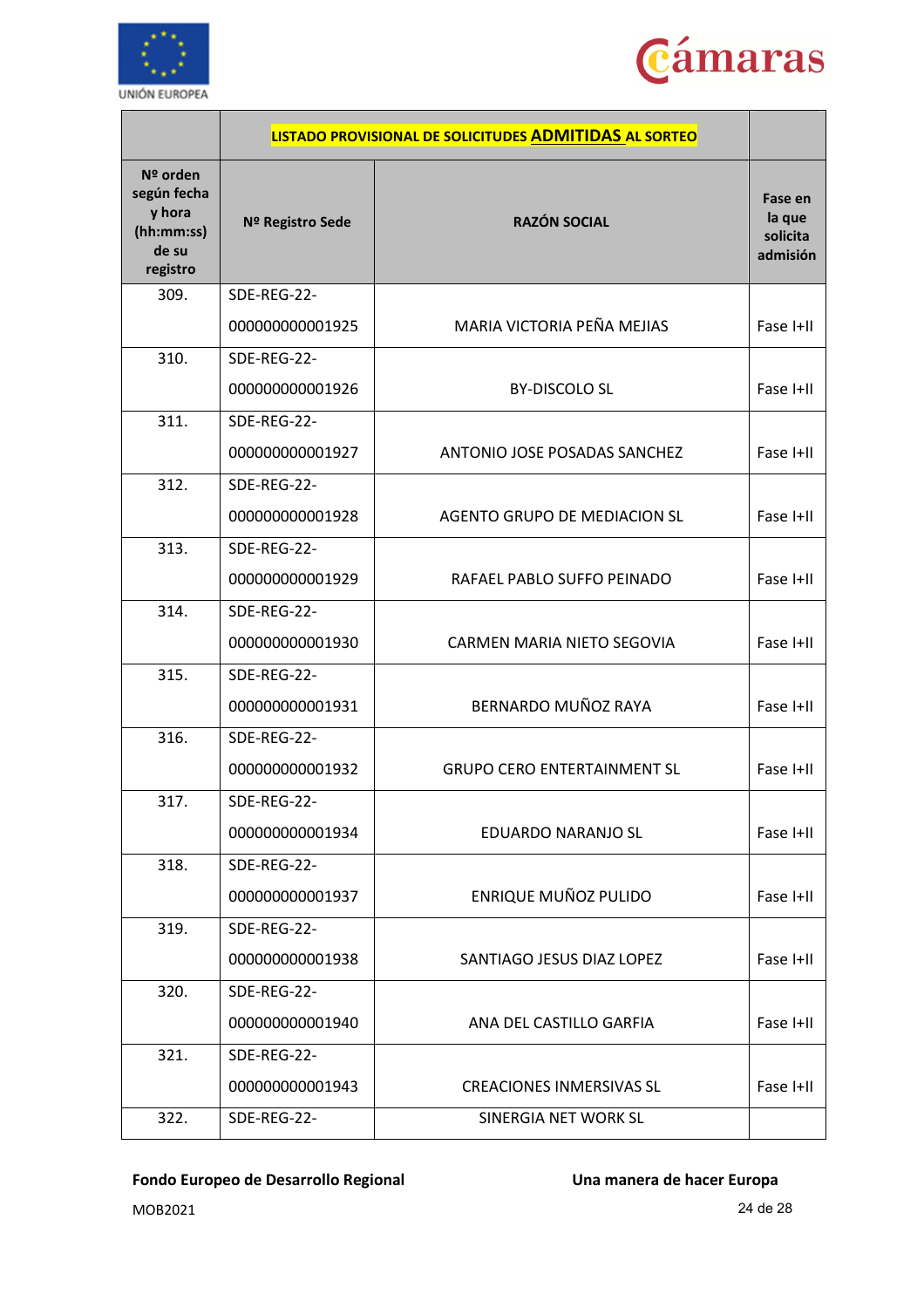



|                                                                      |                                | LISTADO PROVISIONAL DE SOLICITUDES ADMITIDAS AL SORTEO |                                           |
|----------------------------------------------------------------------|--------------------------------|--------------------------------------------------------|-------------------------------------------|
| Nº orden<br>según fecha<br>y hora<br>(hh:mm:ss)<br>de su<br>registro | Nº Registro Sede               | <b>RAZÓN SOCIAL</b>                                    | Fase en<br>la que<br>solicita<br>admisión |
| 309.                                                                 | SDE-REG-22-<br>000000000001925 | MARIA VICTORIA PEÑA MEJIAS                             | Fase I+II                                 |
| 310.                                                                 | SDE-REG-22-                    |                                                        |                                           |
|                                                                      | 000000000001926                | <b>BY-DISCOLO SL</b>                                   | Fase I+II                                 |
| 311.                                                                 | SDE-REG-22-                    |                                                        |                                           |
|                                                                      | 000000000001927                | ANTONIO JOSE POSADAS SANCHEZ                           | Fase I+II                                 |
| 312.                                                                 | SDE-REG-22-                    |                                                        |                                           |
|                                                                      | 000000000001928                | AGENTO GRUPO DE MEDIACION SL                           | Fase I+II                                 |
| 313.                                                                 | SDE-REG-22-                    |                                                        |                                           |
|                                                                      | 000000000001929                | RAFAEL PABLO SUFFO PEINADO                             | Fase I+II                                 |
| 314.                                                                 | SDE-REG-22-                    |                                                        |                                           |
|                                                                      | 000000000001930                | CARMEN MARIA NIETO SEGOVIA                             | Fase I+II                                 |
| 315.                                                                 | SDE-REG-22-                    |                                                        |                                           |
|                                                                      | 000000000001931                | BERNARDO MUÑOZ RAYA                                    | Fase I+II                                 |
| 316.                                                                 | SDE-REG-22-                    |                                                        |                                           |
|                                                                      | 000000000001932                | <b>GRUPO CERO ENTERTAINMENT SL</b>                     | Fase I+II                                 |
| 317.                                                                 | SDE-REG-22-                    |                                                        |                                           |
|                                                                      | 000000000001934                | EDUARDO NARANJO SL                                     | Fase I+II                                 |
| 318.                                                                 | SDE-REG-22-                    |                                                        |                                           |
|                                                                      | 000000000001937                | <b>ENRIQUE MUÑOZ PULIDO</b>                            | Fase I+II                                 |
| 319.                                                                 | SDE-REG-22-                    |                                                        |                                           |
|                                                                      | 000000000001938                | SANTIAGO JESUS DIAZ LOPEZ                              | Fase I+II                                 |
| 320.                                                                 | SDE-REG-22-                    |                                                        |                                           |
|                                                                      | 000000000001940                | ANA DEL CASTILLO GARFIA                                | Fase I+II                                 |
| 321.                                                                 | SDE-REG-22-                    |                                                        |                                           |
|                                                                      | 000000000001943                | <b>CREACIONES INMERSIVAS SL</b>                        | Fase I+II                                 |
| 322.                                                                 | SDE-REG-22-                    | SINERGIA NET WORK SL                                   |                                           |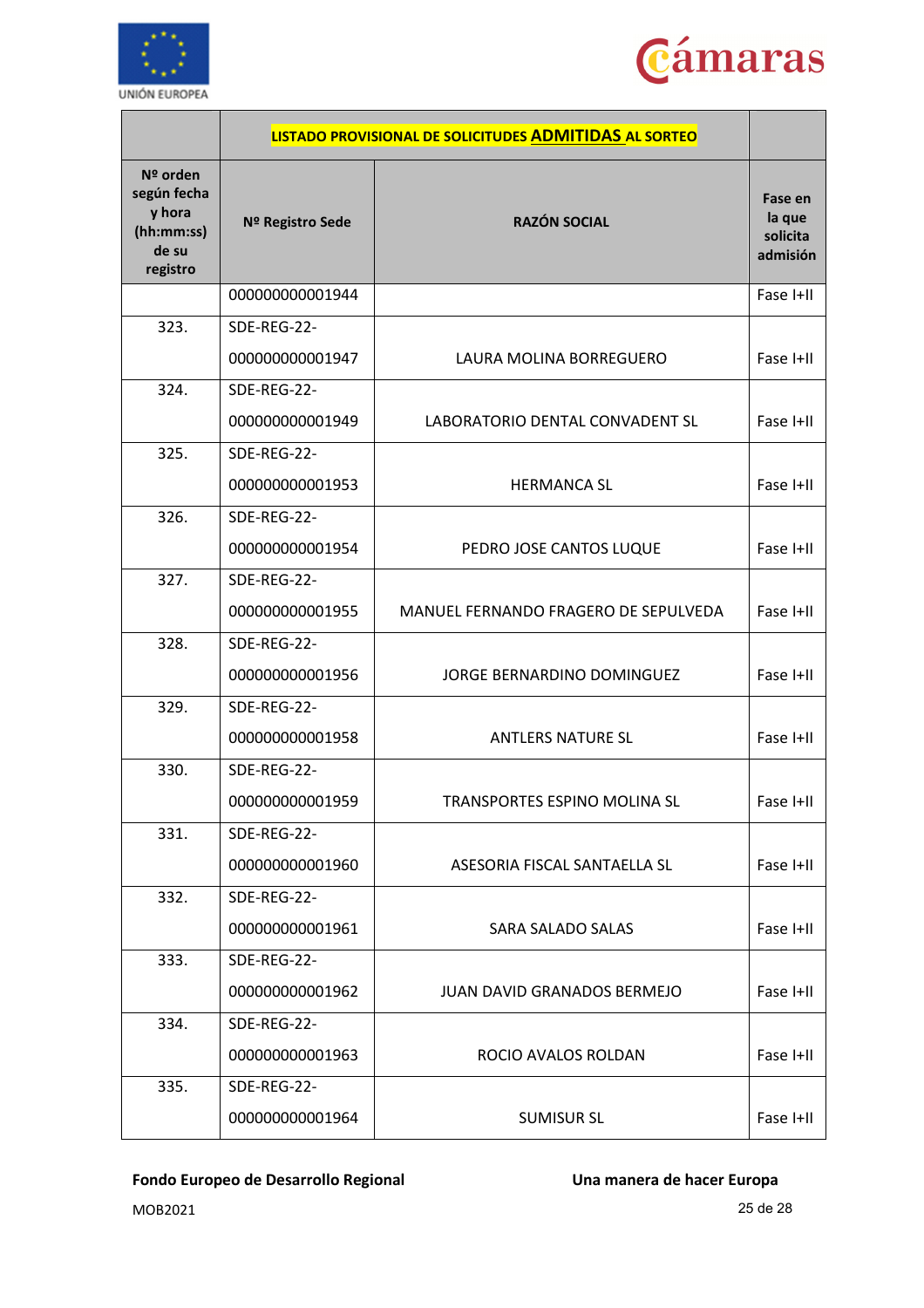



|                                                                      | LISTADO PROVISIONAL DE SOLICITUDES ADMITIDAS AL SORTEO |                                      |                                           |
|----------------------------------------------------------------------|--------------------------------------------------------|--------------------------------------|-------------------------------------------|
| Nº orden<br>según fecha<br>y hora<br>(hh:mm:ss)<br>de su<br>registro | Nº Registro Sede                                       | <b>RAZÓN SOCIAL</b>                  | Fase en<br>la que<br>solicita<br>admisión |
|                                                                      | 000000000001944                                        |                                      | Fase I+II                                 |
| 323.                                                                 | SDE-REG-22-                                            |                                      |                                           |
|                                                                      | 000000000001947                                        | LAURA MOLINA BORREGUERO              | Fase I+II                                 |
| 324.                                                                 | SDE-REG-22-                                            |                                      |                                           |
|                                                                      | 000000000001949                                        | LABORATORIO DENTAL CONVADENT SL      | Fase I+II                                 |
| 325.                                                                 | SDE-REG-22-                                            |                                      |                                           |
|                                                                      | 000000000001953                                        | <b>HERMANCA SL</b>                   | Fase I+II                                 |
| 326.                                                                 | SDE-REG-22-                                            |                                      |                                           |
|                                                                      | 000000000001954                                        | PEDRO JOSE CANTOS LUQUE              | Fase I+II                                 |
| 327.                                                                 | SDE-REG-22-                                            |                                      |                                           |
|                                                                      | 000000000001955                                        | MANUEL FERNANDO FRAGERO DE SEPULVEDA | Fase I+II                                 |
| 328.                                                                 | SDE-REG-22-                                            |                                      |                                           |
|                                                                      | 000000000001956                                        | JORGE BERNARDINO DOMINGUEZ           | Fase I+II                                 |
| 329.                                                                 | SDE-REG-22-                                            |                                      |                                           |
|                                                                      | 000000000001958                                        | <b>ANTLERS NATURE SL</b>             | Fase I+II                                 |
| 330.                                                                 | SDE-REG-22-                                            |                                      |                                           |
|                                                                      | 000000000001959                                        | TRANSPORTES ESPINO MOLINA SL         | Fase I+II                                 |
| 331.                                                                 | SDE-REG-22-                                            |                                      |                                           |
|                                                                      | 000000000001960                                        | ASESORIA FISCAL SANTAELLA SL         | Fase I+II                                 |
| 332.                                                                 | SDE-REG-22-                                            |                                      |                                           |
|                                                                      | 000000000001961                                        | SARA SALADO SALAS                    | Fase I+II                                 |
| 333.                                                                 | SDE-REG-22-                                            |                                      |                                           |
|                                                                      | 000000000001962                                        | <b>JUAN DAVID GRANADOS BERMEJO</b>   | Fase I+II                                 |
| 334.                                                                 | SDE-REG-22-                                            |                                      |                                           |
|                                                                      | 000000000001963                                        | ROCIO AVALOS ROLDAN                  | Fase I+II                                 |
| 335.                                                                 | SDE-REG-22-                                            |                                      |                                           |
|                                                                      | 000000000001964                                        | <b>SUMISUR SL</b>                    | Fase I+II                                 |

MOB2021 25 de 28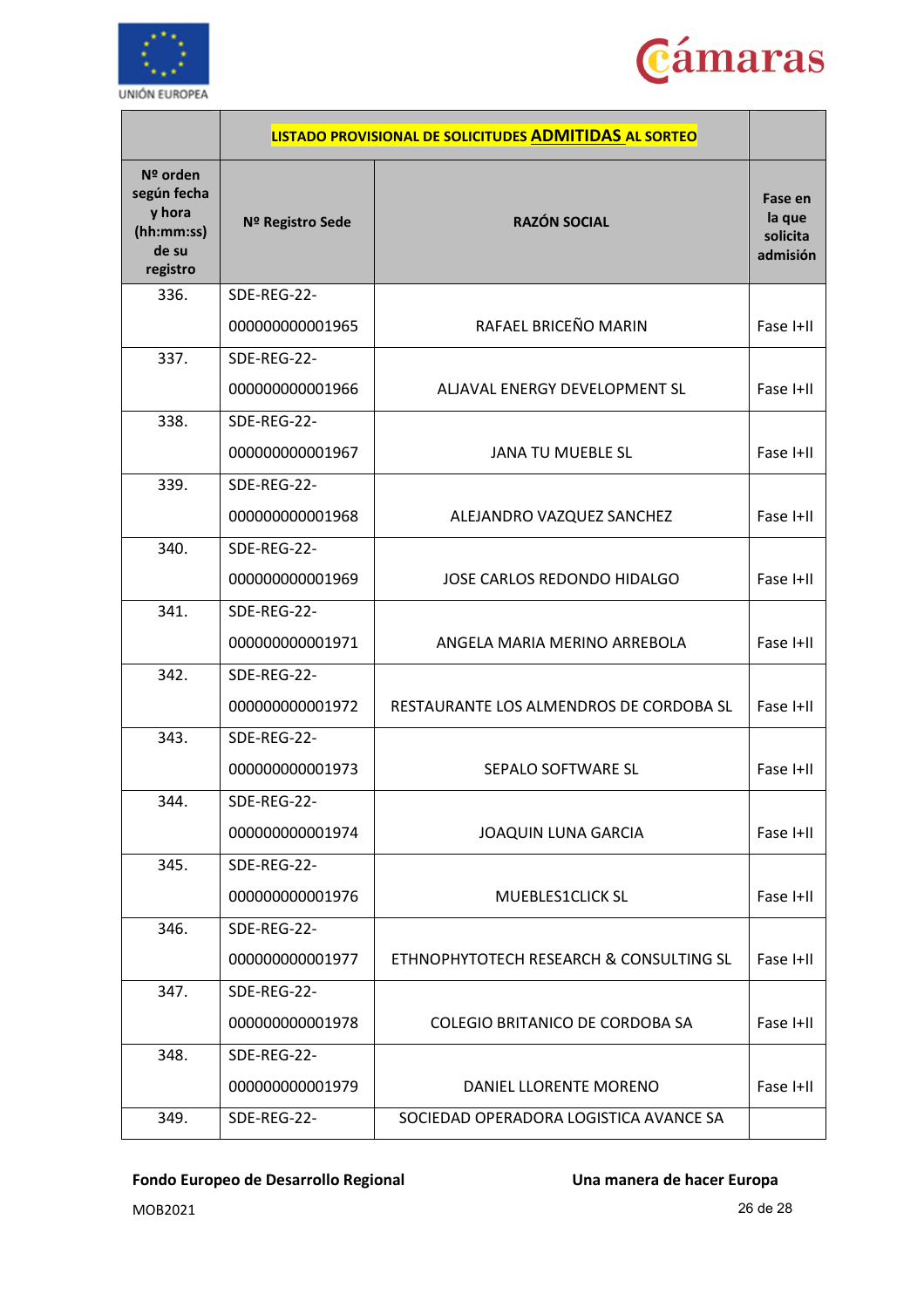



|                                                                      | LISTADO PROVISIONAL DE SOLICITUDES ADMITIDAS AL SORTEO |                                                      |                                           |
|----------------------------------------------------------------------|--------------------------------------------------------|------------------------------------------------------|-------------------------------------------|
| Nº orden<br>según fecha<br>y hora<br>(hh:mm:ss)<br>de su<br>registro | Nº Registro Sede                                       | <b>RAZÓN SOCIAL</b>                                  | Fase en<br>la que<br>solicita<br>admisión |
| 336.                                                                 | SDE-REG-22-<br>000000000001965                         | RAFAEL BRICEÑO MARIN                                 | Fase I+II                                 |
| 337.                                                                 | SDE-REG-22-<br>000000000001966                         | ALJAVAL ENERGY DEVELOPMENT SL                        | Fase I+II                                 |
| 338.                                                                 | SDE-REG-22-<br>000000000001967                         | <b>JANA TU MUEBLE SL</b>                             | Fase I+II                                 |
| 339.                                                                 | SDE-REG-22-<br>000000000001968                         | ALEJANDRO VAZQUEZ SANCHEZ                            | Fase I+II                                 |
| 340.                                                                 | SDE-REG-22-<br>000000000001969                         | JOSE CARLOS REDONDO HIDALGO                          | Fase I+II                                 |
| 341.                                                                 | SDE-REG-22-<br>000000000001971                         | ANGELA MARIA MERINO ARREBOLA                         | Fase I+II                                 |
| 342.                                                                 | SDE-REG-22-<br>000000000001972                         | RESTAURANTE LOS ALMENDROS DE CORDOBA SL<br>Fase I+II |                                           |
| 343.                                                                 | SDE-REG-22-<br>000000000001973                         | SEPALO SOFTWARE SL<br>Fase I+II                      |                                           |
| 344.                                                                 | SDE-REG-22-<br>000000000001974                         | JOAQUIN LUNA GARCIA<br>Fase I+II                     |                                           |
| 345.                                                                 | SDE-REG-22-<br>000000000001976                         | Fase I+II<br>MUEBLES1CLICK SL                        |                                           |
| 346.                                                                 | SDE-REG-22-<br>000000000001977                         | ETHNOPHYTOTECH RESEARCH & CONSULTING SL<br>Fase I+II |                                           |
| 347.                                                                 | SDE-REG-22-<br>000000000001978                         | Fase I+II<br>COLEGIO BRITANICO DE CORDOBA SA         |                                           |
| 348.                                                                 | SDE-REG-22-<br>000000000001979                         | Fase I+II<br>DANIEL LLORENTE MORENO                  |                                           |
| 349.                                                                 | SDE-REG-22-                                            | SOCIEDAD OPERADORA LOGISTICA AVANCE SA               |                                           |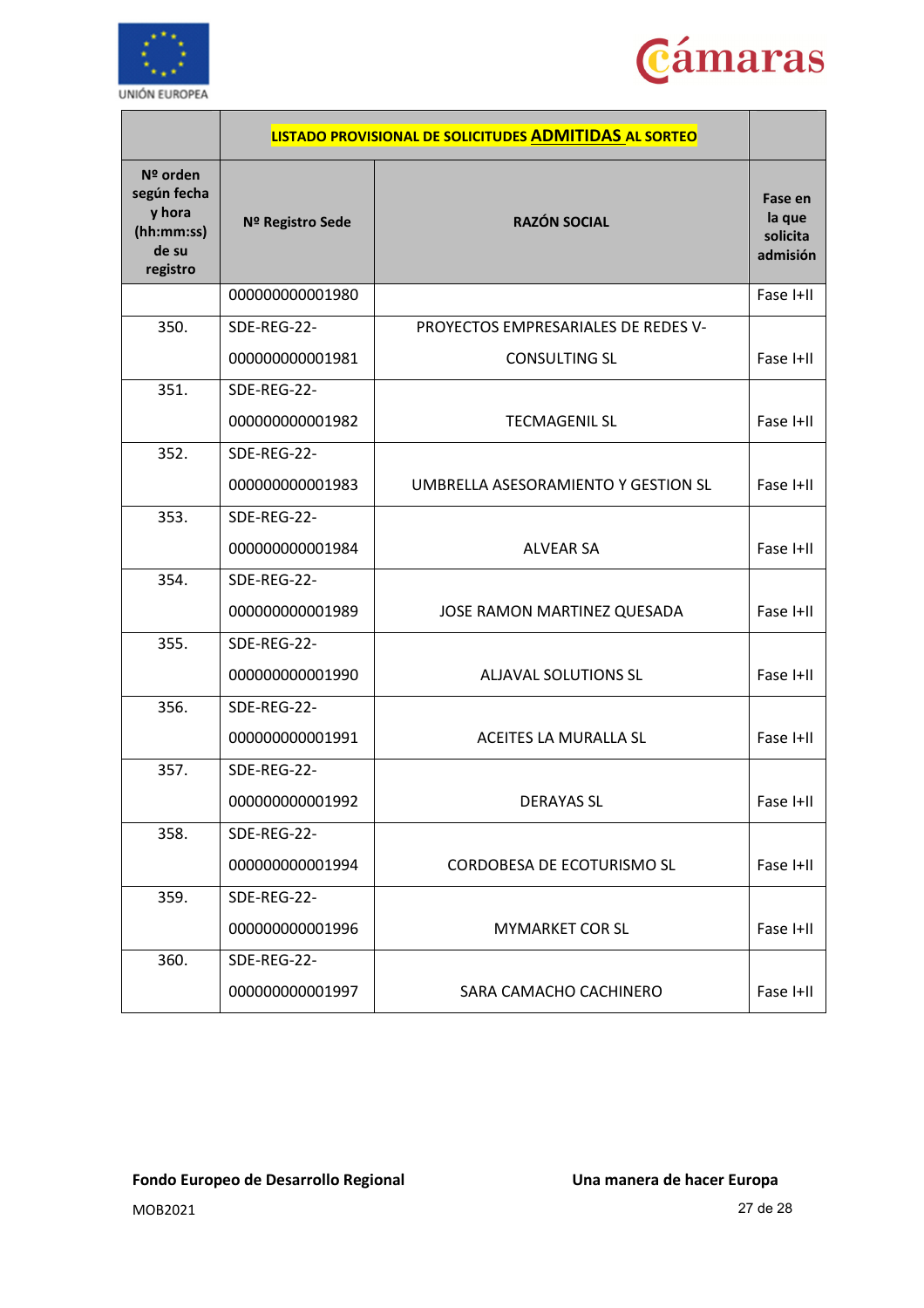



|                                                                      | LISTADO PROVISIONAL DE SOLICITUDES ADMITIDAS AL SORTEO |                                     |                                           |
|----------------------------------------------------------------------|--------------------------------------------------------|-------------------------------------|-------------------------------------------|
| Nº orden<br>según fecha<br>y hora<br>(hh:mm:ss)<br>de su<br>registro | Nº Registro Sede                                       | <b>RAZÓN SOCIAL</b>                 | Fase en<br>la que<br>solicita<br>admisión |
|                                                                      | 000000000001980                                        |                                     | Fase I+II                                 |
| 350.                                                                 | SDE-REG-22-                                            | PROYECTOS EMPRESARIALES DE REDES V- |                                           |
|                                                                      | 000000000001981                                        | <b>CONSULTING SL</b>                | Fase I+II                                 |
| 351.                                                                 | SDE-REG-22-                                            |                                     |                                           |
|                                                                      | 000000000001982                                        | <b>TECMAGENIL SL</b>                | Fase I+II                                 |
| 352.                                                                 | SDE-REG-22-                                            |                                     |                                           |
|                                                                      | 000000000001983                                        | UMBRELLA ASESORAMIENTO Y GESTION SL | Fase I+II                                 |
| 353.                                                                 | SDE-REG-22-                                            |                                     |                                           |
|                                                                      | 000000000001984                                        | <b>ALVEAR SA</b>                    | Fase I+II                                 |
| 354.                                                                 | SDE-REG-22-                                            |                                     |                                           |
|                                                                      | 000000000001989                                        | JOSE RAMON MARTINEZ QUESADA         | Fase I+II                                 |
| 355.                                                                 | SDE-REG-22-                                            |                                     |                                           |
|                                                                      | 000000000001990                                        | <b>ALJAVAL SOLUTIONS SL</b>         | Fase I+II                                 |
| 356.                                                                 | SDE-REG-22-                                            |                                     |                                           |
|                                                                      | 000000000001991                                        | ACEITES LA MURALLA SL               | Fase I+II                                 |
| 357.                                                                 | SDE-REG-22-                                            |                                     |                                           |
|                                                                      | 000000000001992                                        | <b>DERAYAS SL</b>                   | Fase I+II                                 |
| 358.                                                                 | SDE-REG-22-                                            |                                     |                                           |
|                                                                      | 000000000001994                                        | CORDOBESA DE ECOTURISMO SL          | Fase I+II                                 |
| 359.                                                                 | SDE-REG-22-                                            |                                     |                                           |
|                                                                      | 000000000001996                                        | <b>MYMARKET COR SL</b>              | Fase I+II                                 |
| 360.                                                                 | SDE-REG-22-                                            |                                     |                                           |
|                                                                      | 000000000001997                                        | SARA CAMACHO CACHINERO              | Fase I+II                                 |